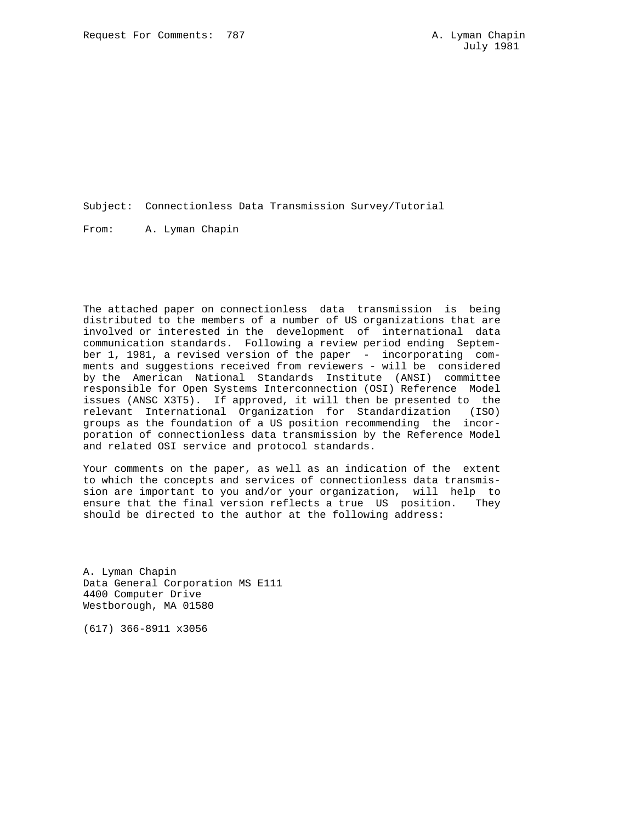Subject: Connectionless Data Transmission Survey/Tutorial

From: A. Lyman Chapin

The attached paper on connectionless data transmission is being distributed to the members of a number of US organizations that are involved or interested in the development of international data communication standards. Following a review period ending September 1, 1981, a revised version of the paper - incorporating comments and suggestions received from reviewers - will be considered by the American National Standards Institute (ANSI) committee responsible for Open Systems Interconnection (OSI) Reference Model issues (ANSC X3T5). If approved, it will then be presented to the relevant International Organization for Standardization (ISO) groups as the foundation of a US position recommending the incorporation of connectionless data transmission by the Reference Model and related OSI service and protocol standards.

Your comments on the paper, as well as an indication of the extent to which the concepts and services of connectionless data transmission are important to you and/or your organization, will help to ensure that the final version reflects a true US position. They should be directed to the author at the following address:

A. Lyman Chapin Data General Corporation MS E111 4400 Computer Drive Westborough, MA 01580

(617) 366-8911 x3056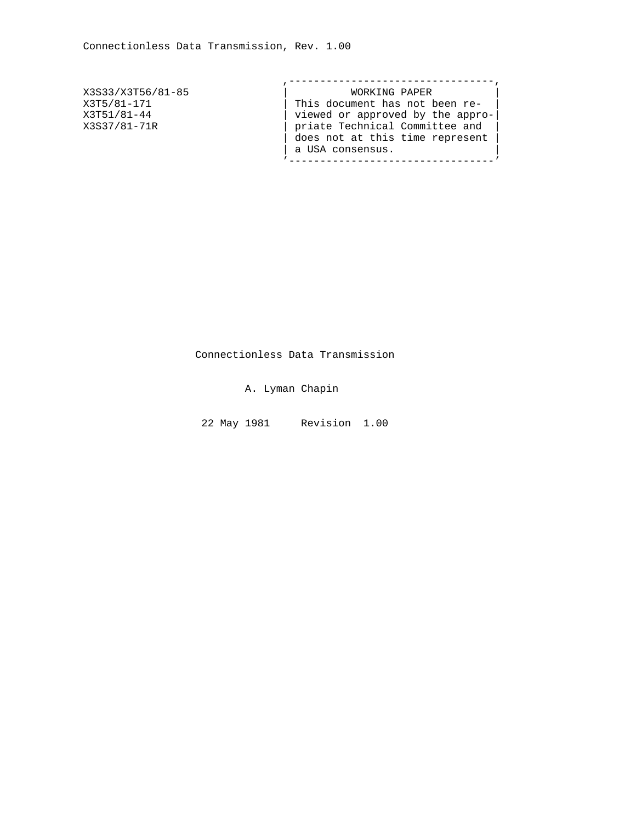| X3S33/X3T56/81-85 | WORKING PAPER                    |
|-------------------|----------------------------------|
| X3T5/81-171       | This document has not been re-   |
| X3T51/81-44       | viewed or approved by the appro- |
| X3S37/81-71R      | priate Technical Committee and   |
|                   | does not at this time represent  |
|                   | a USA consensus.                 |
|                   |                                  |

Connectionless Data Transmission

A. Lyman Chapin

22 May 1981 Revision 1.00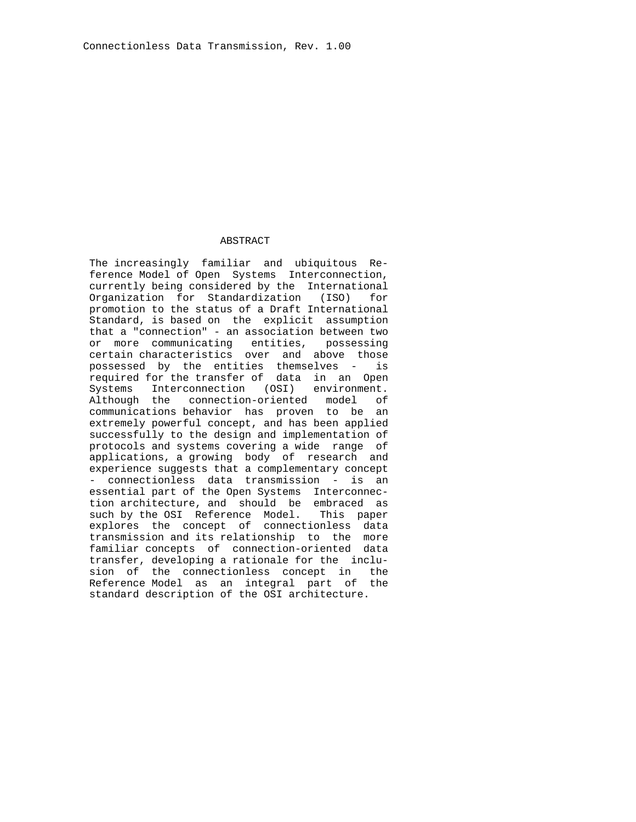#### ABSTRACT

 The increasingly familiar and ubiquitous Re ference Model of Open Systems Interconnection, currently being considered by the International Organization for Standardization (ISO) for promotion to the status of a Draft International Standard, is based on the explicit assumption that a "connection" - an association between two or more communicating entities, possessing certain characteristics over and above those possessed by the entities themselves - is required for the transfer of data in an Open Systems Interconnection (OSI) environment. Although the connection-oriented model of communications behavior has proven to be an extremely powerful concept, and has been applied successfully to the design and implementation of protocols and systems covering a wide range of applications, a growing body of research and experience suggests that a complementary concept - connectionless data transmission - is an essential part of the Open Systems Interconnec tion architecture, and should be embraced as such by the OSI Reference Model. This paper explores the concept of connectionless data transmission and its relationship to the more familiar concepts of connection-oriented data transfer, developing a rationale for the inclu sion of the connectionless concept in the Reference Model as an integral part of the standard description of the OSI architecture.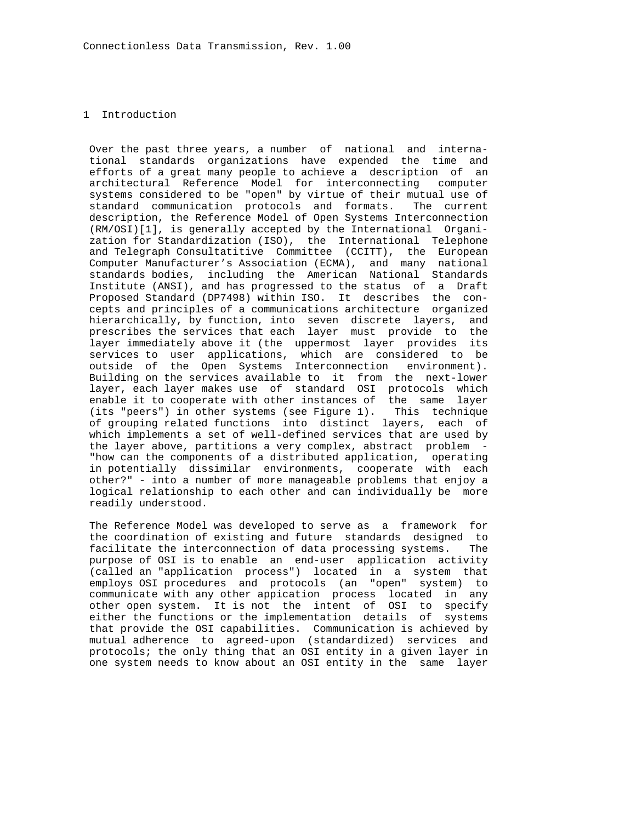# 1 Introduction

 Over the past three years, a number of national and interna tional standards organizations have expended the time and efforts of a great many people to achieve a description of an architectural Reference Model for interconnecting computer systems considered to be "open" by virtue of their mutual use of standard communication protocols and formats. The current description, the Reference Model of Open Systems Interconnection (RM/OSI)[1], is generally accepted by the International Organi zation for Standardization (ISO), the International Telephone and Telegraph Consultatitive Committee (CCITT), the European Computer Manufacturer's Association (ECMA), and many national standards bodies, including the American National Standards Institute (ANSI), and has progressed to the status of a Draft Proposed Standard (DP7498) within ISO. It describes the con cepts and principles of a communications architecture organized hierarchically, by function, into seven discrete layers, and prescribes the services that each layer must provide to the layer immediately above it (the uppermost layer provides its services to user applications, which are considered to be outside of the Open Systems Interconnection environment). Building on the services available to it from the next-lower layer, each layer makes use of standard OSI protocols which enable it to cooperate with other instances of the same layer (its "peers") in other systems (see Figure 1). This technique of grouping related functions into distinct layers, each of which implements a set of well-defined services that are used by the layer above, partitions a very complex, abstract problem - "how can the components of a distributed application, operating in potentially dissimilar environments, cooperate with each other?" - into a number of more manageable problems that enjoy a logical relationship to each other and can individually be more readily understood.

 The Reference Model was developed to serve as a framework for the coordination of existing and future standards designed to facilitate the interconnection of data processing systems. The purpose of OSI is to enable an end-user application activity (called an "application process") located in a system that employs OSI procedures and protocols (an "open" system) to communicate with any other appication process located in any other open system. It is not the intent of OSI to specify either the functions or the implementation details of systems that provide the OSI capabilities. Communication is achieved by mutual adherence to agreed-upon (standardized) services and protocols; the only thing that an OSI entity in a given layer in one system needs to know about an OSI entity in the same layer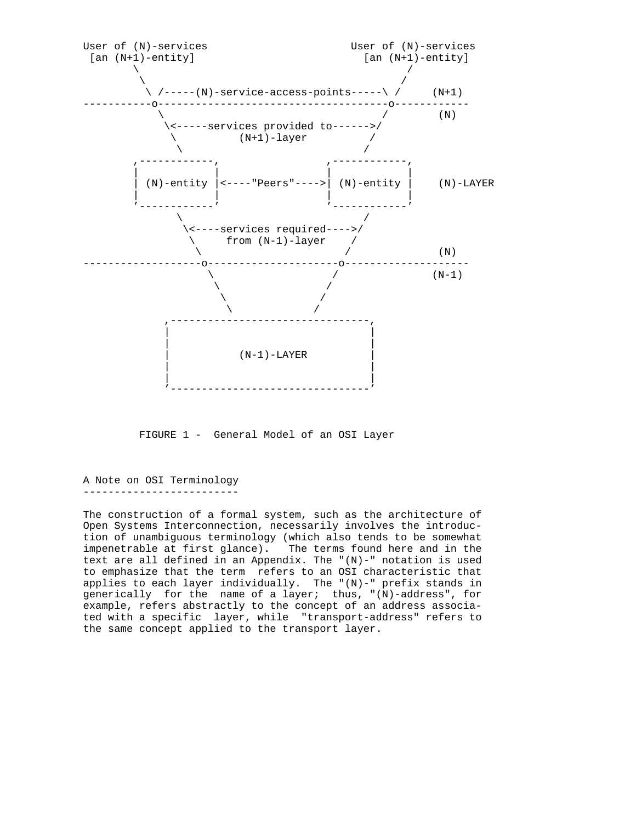

FIGURE 1 - General Model of an OSI Layer

A Note on OSI Terminology -------------------------

The construction of a formal system, such as the architecture of Open Systems Interconnection, necessarily involves the introduction of unambiguous terminology (which also tends to be somewhat impenetrable at first glance). The terms found here and in the text are all defined in an Appendix. The " $(N)$ -" notation is used to emphasize that the term refers to an OSI characteristic that applies to each layer individually. The  $|(N)-"$  prefix stands in generically for the name of a layer; thus, "(N)-address", for example, refers abstractly to the concept of an address associated with a specific layer, while "transport-address" refers to the same concept applied to the transport layer.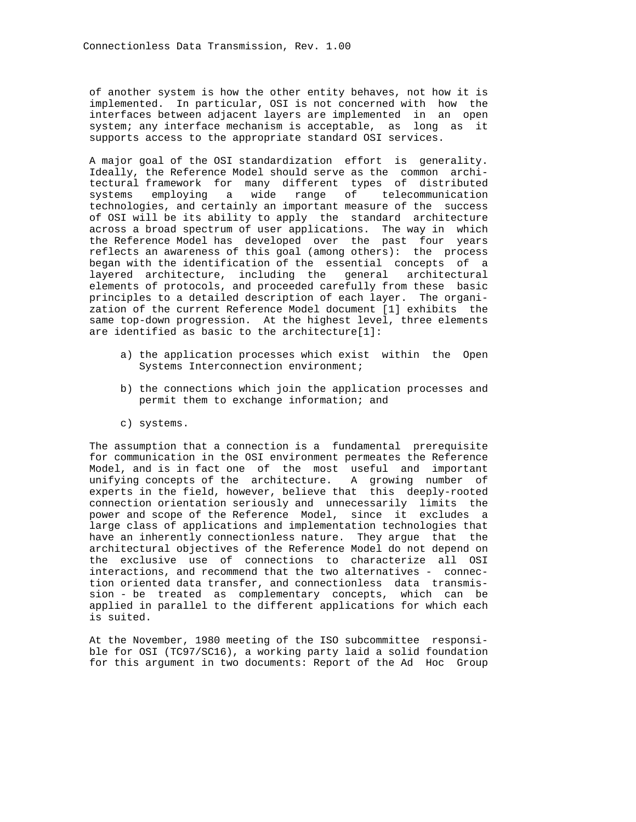of another system is how the other entity behaves, not how it is implemented. In particular, OSI is not concerned with how the interfaces between adjacent layers are implemented in an open system; any interface mechanism is acceptable, as long as it supports access to the appropriate standard OSI services.

 A major goal of the OSI standardization effort is generality. Ideally, the Reference Model should serve as the common archi tectural framework for many different types of distributed systems employing a wide range of telecommunication technologies, and certainly an important measure of the success of OSI will be its ability to apply the standard architecture across a broad spectrum of user applications. The way in which the Reference Model has developed over the past four years reflects an awareness of this goal (among others): the process began with the identification of the essential concepts of a layered architecture, including the general architectural elements of protocols, and proceeded carefully from these basic principles to a detailed description of each layer. The organi zation of the current Reference Model document [1] exhibits the same top-down progression. At the highest level, three elements are identified as basic to the architecture[1]:

- a) the application processes which exist within the Open Systems Interconnection environment;
- b) the connections which join the application processes and permit them to exchange information; and
- c) systems.

 The assumption that a connection is a fundamental prerequisite for communication in the OSI environment permeates the Reference Model, and is in fact one of the most useful and important unifying concepts of the architecture. A growing number of experts in the field, however, believe that this deeply-rooted connection orientation seriously and unnecessarily limits the power and scope of the Reference Model, since it excludes a large class of applications and implementation technologies that have an inherently connectionless nature. They argue that the architectural objectives of the Reference Model do not depend on the exclusive use of connections to characterize all OSI interactions, and recommend that the two alternatives - connec tion oriented data transfer, and connectionless data transmis sion - be treated as complementary concepts, which can be applied in parallel to the different applications for which each is suited.

 At the November, 1980 meeting of the ISO subcommittee responsi ble for OSI (TC97/SC16), a working party laid a solid foundation for this argument in two documents: Report of the Ad Hoc Group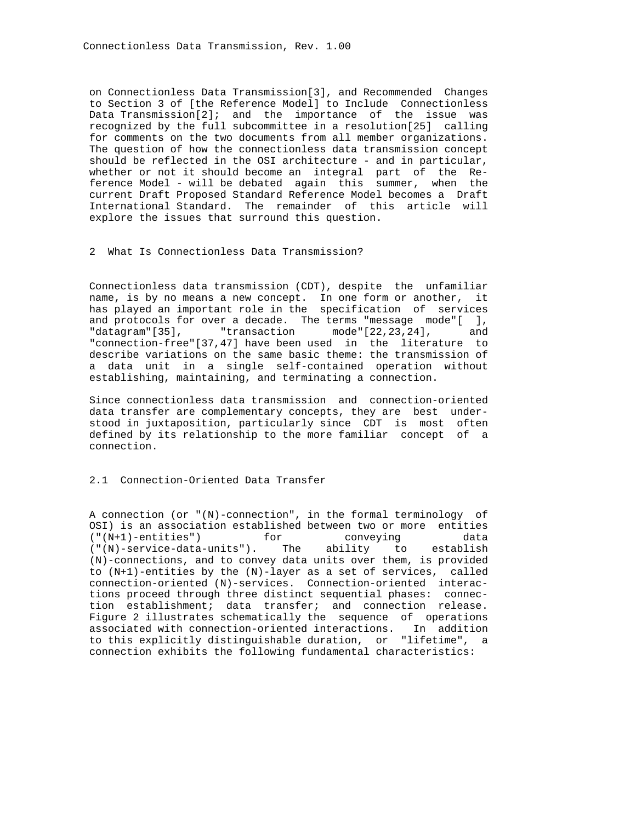on Connectionless Data Transmission[3], and Recommended Changes to Section 3 of [the Reference Model] to Include Connectionless Data Transmission[2]; and the importance of the issue was recognized by the full subcommittee in a resolution[25] calling for comments on the two documents from all member organizations. The question of how the connectionless data transmission concept should be reflected in the OSI architecture - and in particular, whether or not it should become an integral part of the Re ference Model - will be debated again this summer, when the current Draft Proposed Standard Reference Model becomes a Draft International Standard. The remainder of this article will explore the issues that surround this question.

# 2 What Is Connectionless Data Transmission?

 Connectionless data transmission (CDT), despite the unfamiliar name, is by no means a new concept. In one form or another, it has played an important role in the specification of services and protocols for over a decade. The terms "message mode"[ ], "datagram"[35], "transaction mode"[22,23,24], and "connection-free"[37,47] have been used in the literature to describe variations on the same basic theme: the transmission of a data unit in a single self-contained operation without establishing, maintaining, and terminating a connection.

 Since connectionless data transmission and connection-oriented data transfer are complementary concepts, they are best under stood in juxtaposition, particularly since CDT is most often defined by its relationship to the more familiar concept of a connection.

# 2.1 Connection-Oriented Data Transfer

 A connection (or "(N)-connection", in the formal terminology of OSI) is an association established between two or more entities  $(\sqrt{\pi} + 1)$ -entities") for conveying data ("(N+1)-entities") for conveying data ("(N)-service-data-units"). The ability to establish (N)-connections, and to convey data units over them, is provided to (N+1)-entities by the (N)-layer as a set of services, called connection-oriented (N)-services. Connection-oriented interac tions proceed through three distinct sequential phases: connec tion establishment; data transfer; and connection release. Figure 2 illustrates schematically the sequence of operations associated with connection-oriented interactions. In addition to this explicitly distinguishable duration, or "lifetime", a connection exhibits the following fundamental characteristics: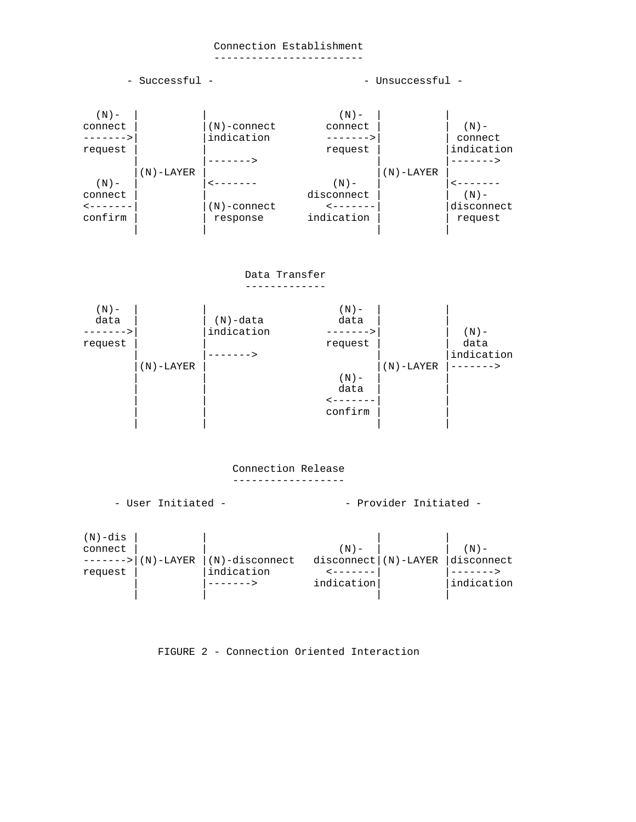# Connection Establishment

------------------------



FIGURE 2 - Connection Oriented Interaction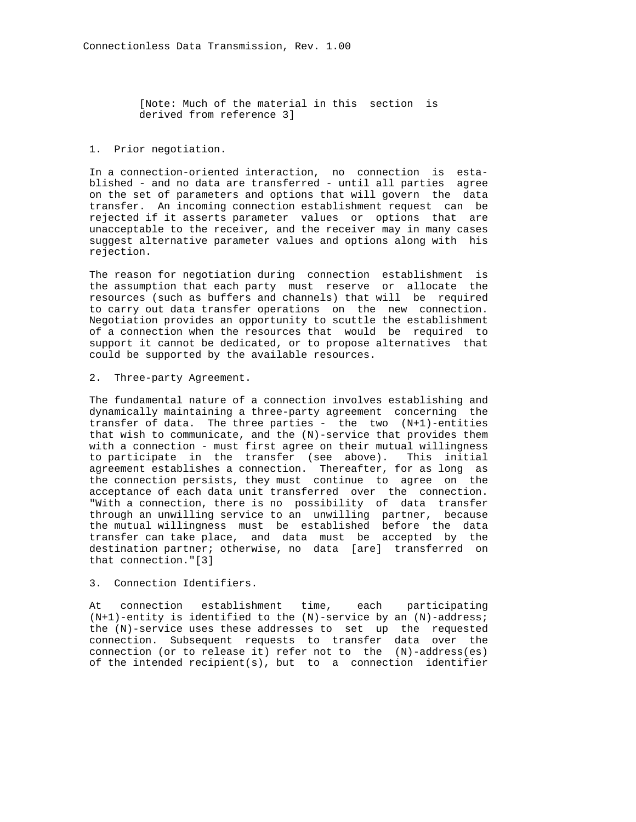[Note: Much of the material in this section is derived from reference 3]

### 1. Prior negotiation.

 In a connection-oriented interaction, no connection is esta blished - and no data are transferred - until all parties agree on the set of parameters and options that will govern the data transfer. An incoming connection establishment request can be rejected if it asserts parameter values or options that are unacceptable to the receiver, and the receiver may in many cases suggest alternative parameter values and options along with his rejection.

 The reason for negotiation during connection establishment is the assumption that each party must reserve or allocate the resources (such as buffers and channels) that will be required to carry out data transfer operations on the new connection. Negotiation provides an opportunity to scuttle the establishment of a connection when the resources that would be required to support it cannot be dedicated, or to propose alternatives that could be supported by the available resources.

#### 2. Three-party Agreement.

 The fundamental nature of a connection involves establishing and dynamically maintaining a three-party agreement concerning the transfer of data. The three parties - the two  $(N+1)$ -entities that wish to communicate, and the (N)-service that provides them with a connection - must first agree on their mutual willingness to participate in the transfer (see above). This initial agreement establishes a connection. Thereafter, for as long as the connection persists, they must continue to agree on the acceptance of each data unit transferred over the connection. "With a connection, there is no possibility of data transfer through an unwilling service to an unwilling partner, because the mutual willingness must be established before the data transfer can take place, and data must be accepted by the destination partner; otherwise, no data [are] transferred on that connection."[3]

# 3. Connection Identifiers.

 At connection establishment time, each participating  $(N+1)$ -entity is identified to the  $(N)$ -service by an  $(N)$ -address; the (N)-service uses these addresses to set up the requested connection. Subsequent requests to transfer data over the connection (or to release it) refer not to the (N)-address(es) of the intended recipient(s), but to a connection identifier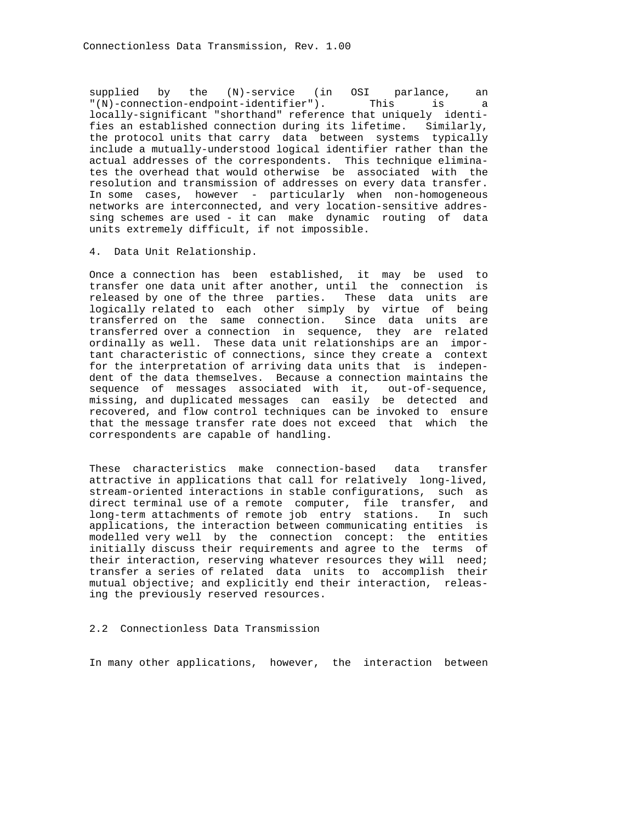supplied by the (N)-service (in OSI parlance, an "(N)-connection-endpoint-identifier"). This is a locally-significant "shorthand" reference that uniquely identi fies an established connection during its lifetime. Similarly, the protocol units that carry data between systems typically include a mutually-understood logical identifier rather than the actual addresses of the correspondents. This technique elimina tes the overhead that would otherwise be associated with the resolution and transmission of addresses on every data transfer. In some cases, however - particularly when non-homogeneous networks are interconnected, and very location-sensitive addres sing schemes are used - it can make dynamic routing of data units extremely difficult, if not impossible.

4. Data Unit Relationship.

 Once a connection has been established, it may be used to transfer one data unit after another, until the connection is released by one of the three parties. These data units are logically related to each other simply by virtue of being transferred on the same connection. Since data units are transferred over a connection in sequence, they are related ordinally as well. These data unit relationships are an impor tant characteristic of connections, since they create a context for the interpretation of arriving data units that is indepen dent of the data themselves. Because a connection maintains the sequence of messages associated with it, out-of-sequence, missing, and duplicated messages can easily be detected and recovered, and flow control techniques can be invoked to ensure that the message transfer rate does not exceed that which the correspondents are capable of handling.

 These characteristics make connection-based data transfer attractive in applications that call for relatively long-lived, stream-oriented interactions in stable configurations, such as direct terminal use of a remote computer, file transfer, and long-term attachments of remote job entry stations. In such applications, the interaction between communicating entities is modelled very well by the connection concept: the entities initially discuss their requirements and agree to the terms of their interaction, reserving whatever resources they will need; transfer a series of related data units to accomplish their mutual objective; and explicitly end their interaction, releas ing the previously reserved resources.

2.2 Connectionless Data Transmission

In many other applications, however, the interaction between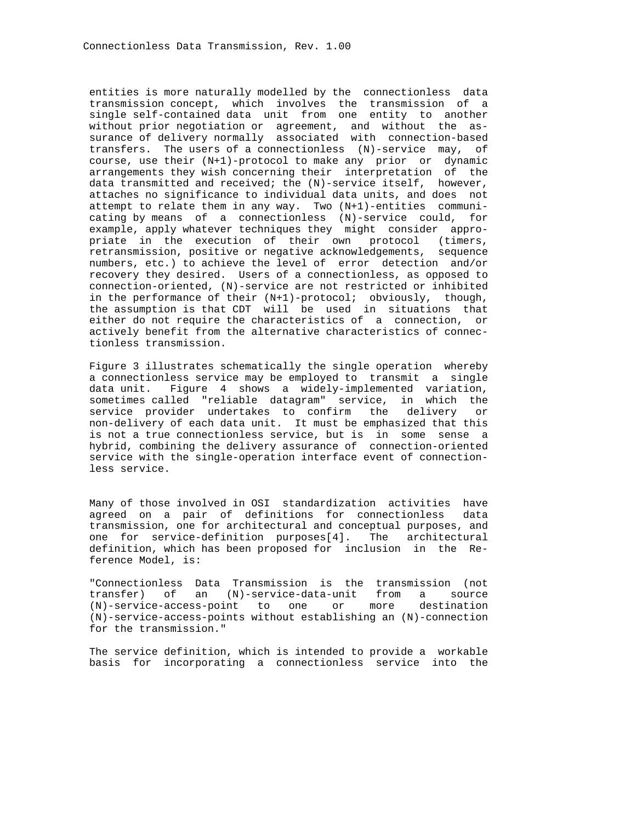entities is more naturally modelled by the connectionless data transmission concept, which involves the transmission of a single self-contained data unit from one entity to another without prior negotiation or agreement, and without the as surance of delivery normally associated with connection-based transfers. The users of a connectionless (N)-service may, of course, use their (N+1)-protocol to make any prior or dynamic arrangements they wish concerning their interpretation of the data transmitted and received; the (N)-service itself, however, attaches no significance to individual data units, and does not attempt to relate them in any way. Two (N+1)-entities communi cating by means of a connectionless (N)-service could, for example, apply whatever techniques they might consider appro priate in the execution of their own protocol (timers, retransmission, positive or negative acknowledgements, sequence numbers, etc.) to achieve the level of error detection and/or recovery they desired. Users of a connectionless, as opposed to connection-oriented, (N)-service are not restricted or inhibited in the performance of their (N+1)-protocol; obviously, though, the assumption is that CDT will be used in situations that either do not require the characteristics of a connection, or actively benefit from the alternative characteristics of connec tionless transmission.

 Figure 3 illustrates schematically the single operation whereby a connectionless service may be employed to transmit a single data unit. Figure 4 shows a widely-implemented variation, sometimes called "reliable datagram" service, in which the service provider undertakes to confirm the delivery or non-delivery of each data unit. It must be emphasized that this is not a true connectionless service, but is in some sense a hybrid, combining the delivery assurance of connection-oriented service with the single-operation interface event of connection less service.

 Many of those involved in OSI standardization activities have agreed on a pair of definitions for connectionless data transmission, one for architectural and conceptual purposes, and one for service-definition purposes[4]. The architectural definition, which has been proposed for inclusion in the Re ference Model, is:

 "Connectionless Data Transmission is the transmission (not transfer) of an (N)-service-data-unit from a source (N)-service-access-point to one or more destination (N)-service-access-points without establishing an (N)-connection for the transmission."

 The service definition, which is intended to provide a workable basis for incorporating a connectionless service into the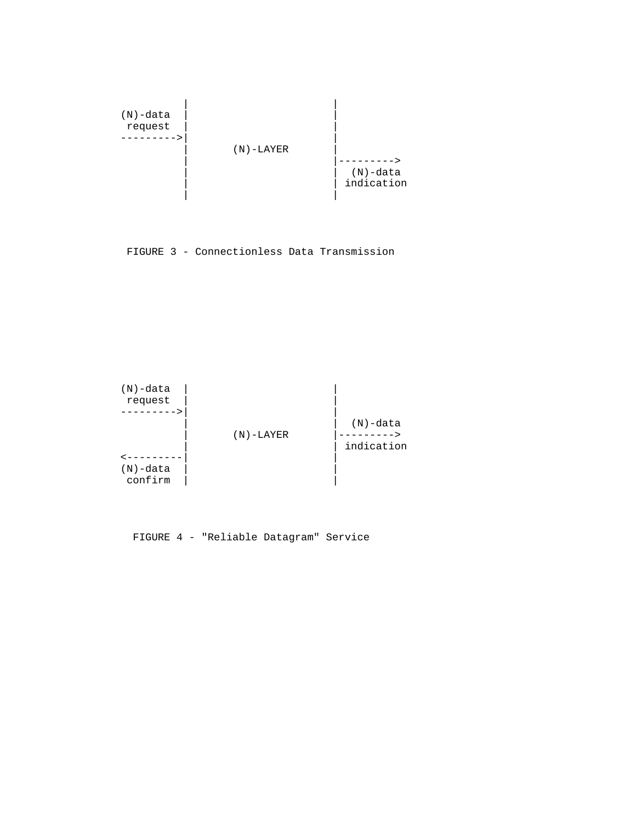

FIGURE 3 - Connectionless Data Transmission



FIGURE 4 - "Reliable Datagram" Service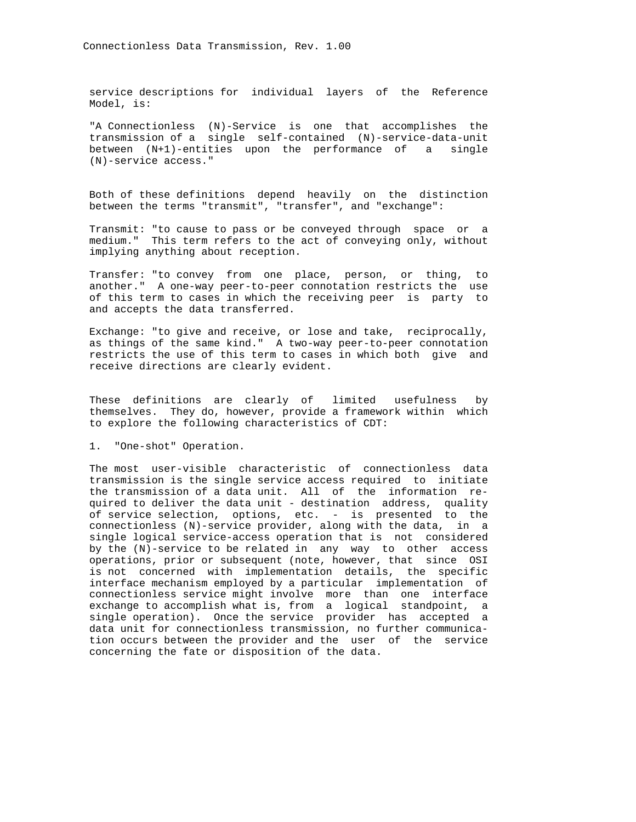service descriptions for individual layers of the Reference Model, is:

 "A Connectionless (N)-Service is one that accomplishes the transmission of a single self-contained (N)-service-data-unit between (N+1)-entities upon the performance of a single (N)-service access."

 Both of these definitions depend heavily on the distinction between the terms "transmit", "transfer", and "exchange":

 Transmit: "to cause to pass or be conveyed through space or a medium." This term refers to the act of conveying only, without implying anything about reception.

 Transfer: "to convey from one place, person, or thing, to another." A one-way peer-to-peer connotation restricts the use of this term to cases in which the receiving peer is party to and accepts the data transferred.

 Exchange: "to give and receive, or lose and take, reciprocally, as things of the same kind." A two-way peer-to-peer connotation restricts the use of this term to cases in which both give and receive directions are clearly evident.

 These definitions are clearly of limited usefulness by themselves. They do, however, provide a framework within which to explore the following characteristics of CDT:

1. "One-shot" Operation.

 The most user-visible characteristic of connectionless data transmission is the single service access required to initiate the transmission of a data unit. All of the information re quired to deliver the data unit - destination address, quality of service selection, options, etc. - is presented to the connectionless (N)-service provider, along with the data, in a single logical service-access operation that is not considered by the (N)-service to be related in any way to other access operations, prior or subsequent (note, however, that since OSI is not concerned with implementation details, the specific interface mechanism employed by a particular implementation of connectionless service might involve more than one interface exchange to accomplish what is, from a logical standpoint, a single operation). Once the service provider has accepted a data unit for connectionless transmission, no further communica tion occurs between the provider and the user of the service concerning the fate or disposition of the data.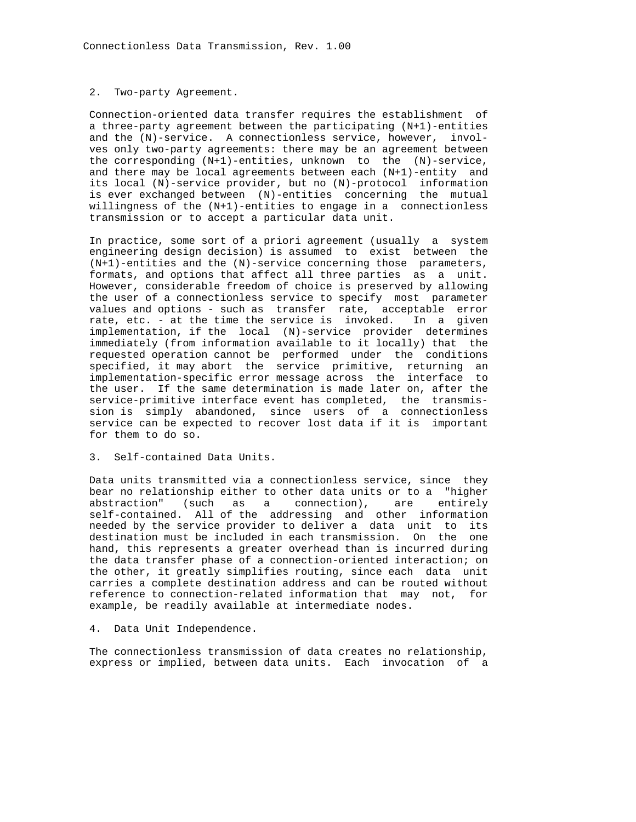#### 2. Two-party Agreement.

 Connection-oriented data transfer requires the establishment of a three-party agreement between the participating (N+1)-entities and the (N)-service. A connectionless service, however, invol ves only two-party agreements: there may be an agreement between the corresponding (N+1)-entities, unknown to the (N)-service, and there may be local agreements between each (N+1)-entity and its local (N)-service provider, but no (N)-protocol information is ever exchanged between (N)-entities concerning the mutual willingness of the (N+1)-entities to engage in a connectionless transmission or to accept a particular data unit.

 In practice, some sort of a priori agreement (usually a system engineering design decision) is assumed to exist between the (N+1)-entities and the (N)-service concerning those parameters, formats, and options that affect all three parties as a unit. However, considerable freedom of choice is preserved by allowing the user of a connectionless service to specify most parameter values and options - such as transfer rate, acceptable error rate, etc. - at the time the service is invoked. In a given implementation, if the local (N)-service provider determines immediately (from information available to it locally) that the requested operation cannot be performed under the conditions specified, it may abort the service primitive, returning an implementation-specific error message across the interface to the user. If the same determination is made later on, after the service-primitive interface event has completed, the transmis sion is simply abandoned, since users of a connectionless service can be expected to recover lost data if it is important for them to do so.

### 3. Self-contained Data Units.

 Data units transmitted via a connectionless service, since they bear no relationship either to other data units or to a "higher abstraction" (such as a connection), are entirely self-contained. All of the addressing and other information needed by the service provider to deliver a data unit to its destination must be included in each transmission. On the one hand, this represents a greater overhead than is incurred during the data transfer phase of a connection-oriented interaction; on the other, it greatly simplifies routing, since each data unit carries a complete destination address and can be routed without reference to connection-related information that may not, for example, be readily available at intermediate nodes.

# 4. Data Unit Independence.

 The connectionless transmission of data creates no relationship, express or implied, between data units. Each invocation of a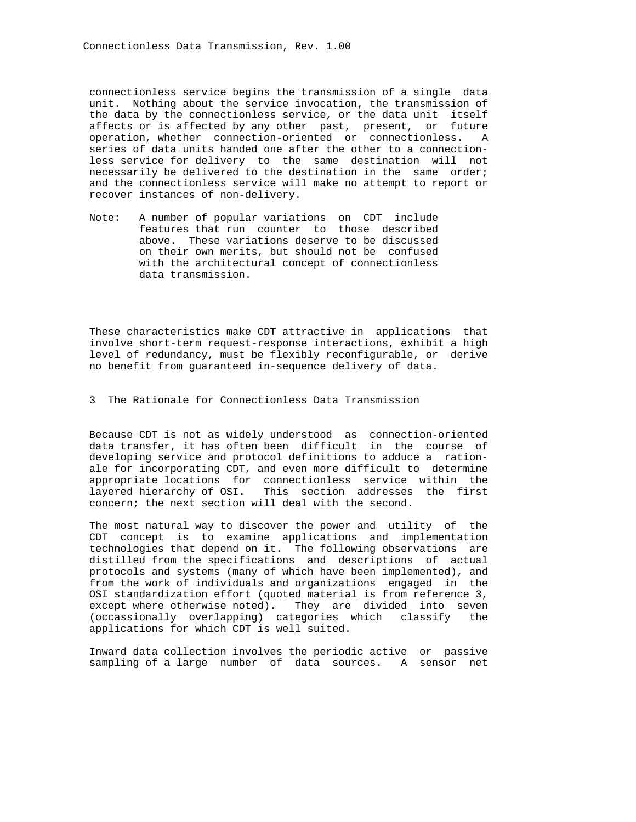connectionless service begins the transmission of a single data unit. Nothing about the service invocation, the transmission of the data by the connectionless service, or the data unit itself affects or is affected by any other past, present, or future operation, whether connection-oriented or connectionless. A series of data units handed one after the other to a connection less service for delivery to the same destination will not necessarily be delivered to the destination in the same order; and the connectionless service will make no attempt to report or recover instances of non-delivery.

 Note: A number of popular variations on CDT include features that run counter to those described above. These variations deserve to be discussed on their own merits, but should not be confused with the architectural concept of connectionless data transmission.

 These characteristics make CDT attractive in applications that involve short-term request-response interactions, exhibit a high level of redundancy, must be flexibly reconfigurable, or derive no benefit from guaranteed in-sequence delivery of data.

3 The Rationale for Connectionless Data Transmission

 Because CDT is not as widely understood as connection-oriented data transfer, it has often been difficult in the course of developing service and protocol definitions to adduce a ration ale for incorporating CDT, and even more difficult to determine appropriate locations for connectionless service within the layered hierarchy of OSI. This section addresses the first concern; the next section will deal with the second.

 The most natural way to discover the power and utility of the CDT concept is to examine applications and implementation technologies that depend on it. The following observations are distilled from the specifications and descriptions of actual protocols and systems (many of which have been implemented), and from the work of individuals and organizations engaged in the OSI standardization effort (quoted material is from reference 3, except where otherwise noted). They are divided into seven (occassionally overlapping) categories which classify the applications for which CDT is well suited.

 Inward data collection involves the periodic active or passive sampling of a large number of data sources. A sensor net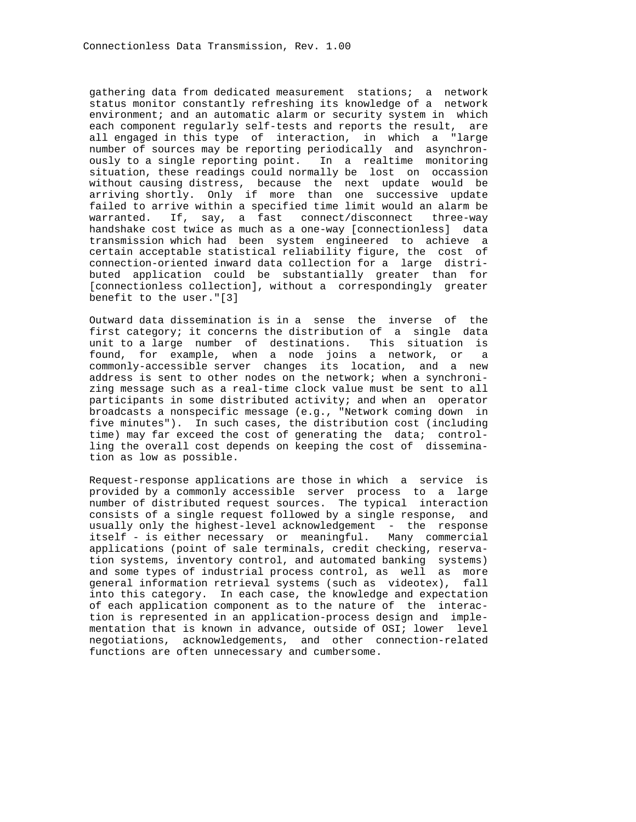gathering data from dedicated measurement stations; a network status monitor constantly refreshing its knowledge of a network environment; and an automatic alarm or security system in which each component regularly self-tests and reports the result, are all engaged in this type of interaction, in which a "large number of sources may be reporting periodically and asynchron ously to a single reporting point. In a realtime monitoring situation, these readings could normally be lost on occassion without causing distress, because the next update would be arriving shortly. Only if more than one successive update failed to arrive within a specified time limit would an alarm be warranted. If, say, a fast connect/disconnect three-way handshake cost twice as much as a one-way [connectionless] data transmission which had been system engineered to achieve a certain acceptable statistical reliability figure, the cost of connection-oriented inward data collection for a large distri buted application could be substantially greater than for [connectionless collection], without a correspondingly greater benefit to the user."[3]

 Outward data dissemination is in a sense the inverse of the first category; it concerns the distribution of a single data unit to a large number of destinations. This situation is found, for example, when a node joins a network, or a commonly-accessible server changes its location, and a new address is sent to other nodes on the network; when a synchroni zing message such as a real-time clock value must be sent to all participants in some distributed activity; and when an operator broadcasts a nonspecific message (e.g., "Network coming down in five minutes"). In such cases, the distribution cost (including time) may far exceed the cost of generating the data; control ling the overall cost depends on keeping the cost of dissemina tion as low as possible.

 Request-response applications are those in which a service is provided by a commonly accessible server process to a large number of distributed request sources. The typical interaction consists of a single request followed by a single response, and usually only the highest-level acknowledgement - the response itself - is either necessary or meaningful. Many commercial applications (point of sale terminals, credit checking, reserva tion systems, inventory control, and automated banking systems) and some types of industrial process control, as well as more general information retrieval systems (such as videotex), fall into this category. In each case, the knowledge and expectation of each application component as to the nature of the interac tion is represented in an application-process design and imple mentation that is known in advance, outside of OSI; lower level negotiations, acknowledgements, and other connection-related functions are often unnecessary and cumbersome.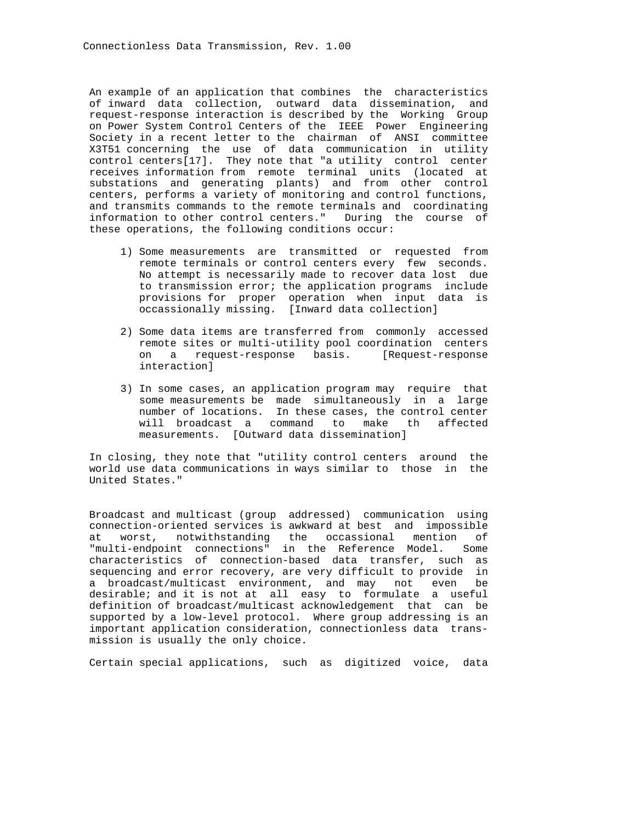An example of an application that combines the characteristics of inward data collection, outward data dissemination, and request-response interaction is described by the Working Group on Power System Control Centers of the IEEE Power Engineering Society in a recent letter to the chairman of ANSI committee X3T51 concerning the use of data communication in utility control centers[17]. They note that "a utility control center receives information from remote terminal units (located at substations and generating plants) and from other control centers, performs a variety of monitoring and control functions, and transmits commands to the remote terminals and coordinating information to other control centers." During the course of these operations, the following conditions occur:

- 1) Some measurements are transmitted or requested from remote terminals or control centers every few seconds. No attempt is necessarily made to recover data lost due to transmission error; the application programs include provisions for proper operation when input data is occassionally missing. [Inward data collection]
- 2) Some data items are transferred from commonly accessed remote sites or multi-utility pool coordination centers on a request-response basis. [Request-response interaction]
- 3) In some cases, an application program may require that some measurements be made simultaneously in a large number of locations. In these cases, the control center will broadcast a command to make th affected measurements. [Outward data dissemination]

 In closing, they note that "utility control centers around the world use data communications in ways similar to those in the United States."

 Broadcast and multicast (group addressed) communication using connection-oriented services is awkward at best and impossible at worst, notwithstanding the occassional mention of "multi-endpoint connections" in the Reference Model. Some characteristics of connection-based data transfer, such as sequencing and error recovery, are very difficult to provide in a broadcast/multicast environment, and may not even be desirable; and it is not at all easy to formulate a useful definition of broadcast/multicast acknowledgement that can be supported by a low-level protocol. Where group addressing is an important application consideration, connectionless data trans mission is usually the only choice.

Certain special applications, such as digitized voice, data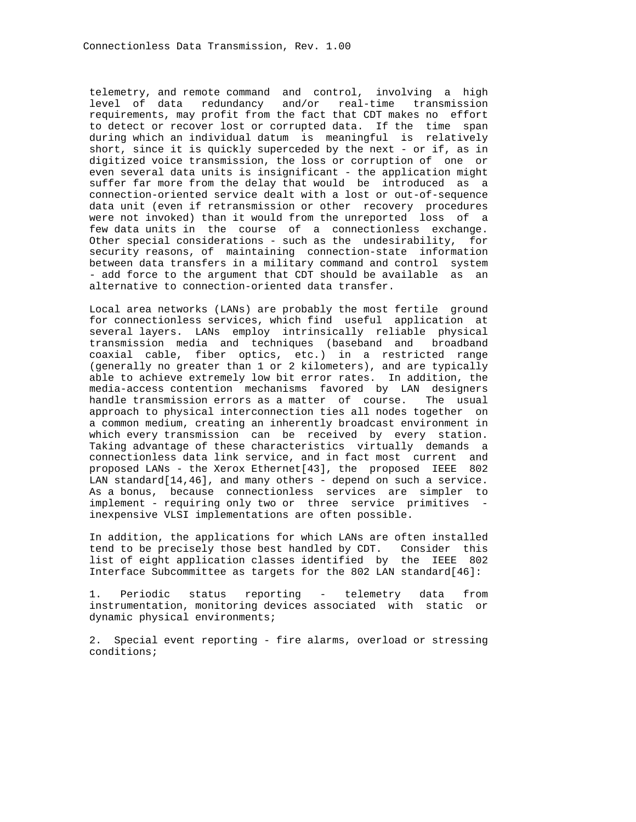telemetry, and remote command and control, involving a high level of data redundancy and/or real-time transmission requirements, may profit from the fact that CDT makes no effort to detect or recover lost or corrupted data. If the time span during which an individual datum is meaningful is relatively short, since it is quickly superceded by the next - or if, as in digitized voice transmission, the loss or corruption of one or even several data units is insignificant - the application might suffer far more from the delay that would be introduced as a connection-oriented service dealt with a lost or out-of-sequence data unit (even if retransmission or other recovery procedures were not invoked) than it would from the unreported loss of a few data units in the course of a connectionless exchange. Other special considerations - such as the undesirability, for security reasons, of maintaining connection-state information between data transfers in a military command and control system - add force to the argument that CDT should be available as an alternative to connection-oriented data transfer.

 Local area networks (LANs) are probably the most fertile ground for connectionless services, which find useful application at several layers. LANs employ intrinsically reliable physical transmission media and techniques (baseband and broadband coaxial cable, fiber optics, etc.) in a restricted range (generally no greater than 1 or 2 kilometers), and are typically able to achieve extremely low bit error rates. In addition, the media-access contention mechanisms favored by LAN designers handle transmission errors as a matter of course. The usual approach to physical interconnection ties all nodes together on a common medium, creating an inherently broadcast environment in which every transmission can be received by every station. Taking advantage of these characteristics virtually demands a connectionless data link service, and in fact most current and proposed LANs - the Xerox Ethernet[43], the proposed IEEE 802 LAN standard[14,46], and many others - depend on such a service. As a bonus, because connectionless services are simpler to implement - requiring only two or three service primitives inexpensive VLSI implementations are often possible.

 In addition, the applications for which LANs are often installed tend to be precisely those best handled by CDT. Consider this list of eight application classes identified by the IEEE 802 Interface Subcommittee as targets for the 802 LAN standard[46]:

 1. Periodic status reporting - telemetry data from instrumentation, monitoring devices associated with static or dynamic physical environments;

 2. Special event reporting - fire alarms, overload or stressing conditions;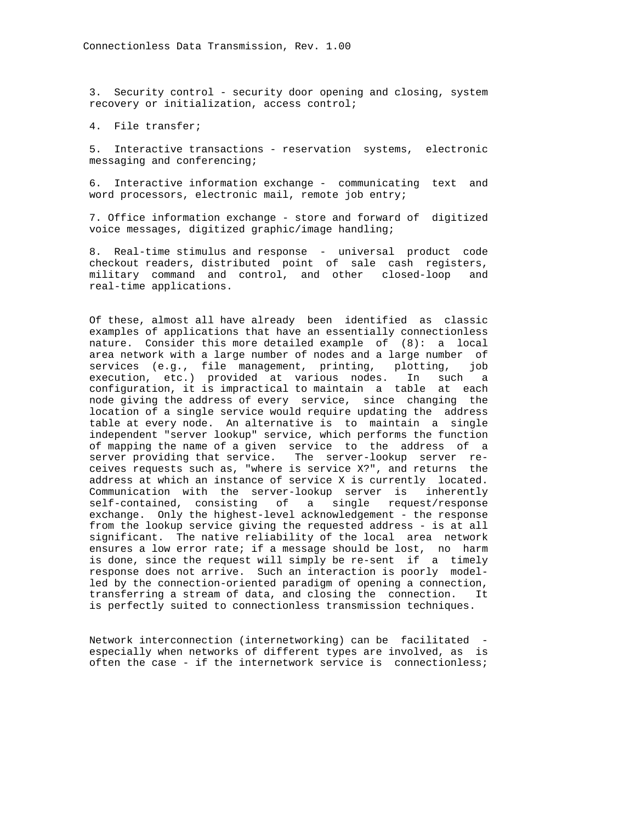3. Security control - security door opening and closing, system recovery or initialization, access control;

4. File transfer;

 5. Interactive transactions - reservation systems, electronic messaging and conferencing;

 6. Interactive information exchange - communicating text and word processors, electronic mail, remote job entry;

 7. Office information exchange - store and forward of digitized voice messages, digitized graphic/image handling;

 8. Real-time stimulus and response - universal product code checkout readers, distributed point of sale cash registers, military command and control, and other closed-loop and real-time applications.

 Of these, almost all have already been identified as classic examples of applications that have an essentially connectionless nature. Consider this more detailed example of (8): a local area network with a large number of nodes and a large number of services (e.g., file management, printing, plotting, job execution, etc.) provided at various nodes. In such a configuration, it is impractical to maintain a table at each node giving the address of every service, since changing the location of a single service would require updating the address table at every node. An alternative is to maintain a single independent "server lookup" service, which performs the function of mapping the name of a given service to the address of a server providing that service. The server-lookup server re ceives requests such as, "where is service X?", and returns the address at which an instance of service X is currently located. Communication with the server-lookup server is inherently self-contained, consisting of a single request/response exchange. Only the highest-level acknowledgement - the response from the lookup service giving the requested address - is at all significant. The native reliability of the local area network ensures a low error rate; if a message should be lost, no harm is done, since the request will simply be re-sent if a timely response does not arrive. Such an interaction is poorly model led by the connection-oriented paradigm of opening a connection, transferring a stream of data, and closing the connection. It is perfectly suited to connectionless transmission techniques.

 Network interconnection (internetworking) can be facilitated especially when networks of different types are involved, as is often the case - if the internetwork service is connectionless;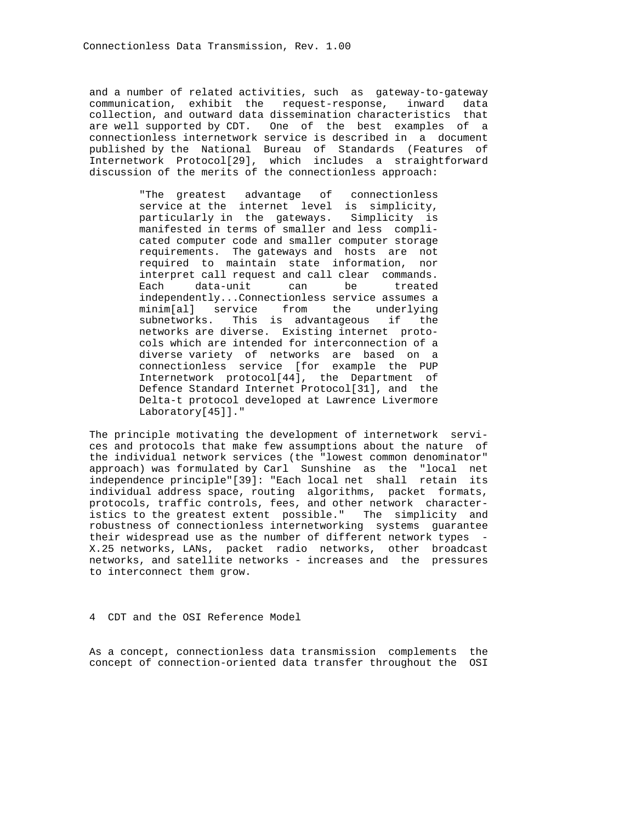and a number of related activities, such as gateway-to-gateway communication, exhibit the request-response, inward data collection, and outward data dissemination characteristics that are well supported by CDT. One of the best examples of a connectionless internetwork service is described in a document published by the National Bureau of Standards (Features of Internetwork Protocol[29], which includes a straightforward discussion of the merits of the connectionless approach:

> "The greatest advantage of connectionless service at the internet level is simplicity, particularly in the gateways. Simplicity is manifested in terms of smaller and less compli cated computer code and smaller computer storage requirements. The gateways and hosts are not required to maintain state information, nor interpret call request and call clear commands. Each data-unit can be treated independently...Connectionless service assumes a minim[al] service from the underlying subnetworks. This is advantageous if the networks are diverse. Existing internet proto cols which are intended for interconnection of a diverse variety of networks are based on a connectionless service [for example the PUP Internetwork protocol[44], the Department of Defence Standard Internet Protocol[31], and the Delta-t protocol developed at Lawrence Livermore Laboratory[45]]."

 The principle motivating the development of internetwork servi ces and protocols that make few assumptions about the nature of the individual network services (the "lowest common denominator" approach) was formulated by Carl Sunshine as the "local net independence principle"[39]: "Each local net shall retain its individual address space, routing algorithms, packet formats, protocols, traffic controls, fees, and other network character istics to the greatest extent possible." The simplicity and robustness of connectionless internetworking systems guarantee their widespread use as the number of different network types - X.25 networks, LANs, packet radio networks, other broadcast networks, and satellite networks - increases and the pressures to interconnect them grow.

4 CDT and the OSI Reference Model

 As a concept, connectionless data transmission complements the concept of connection-oriented data transfer throughout the OSI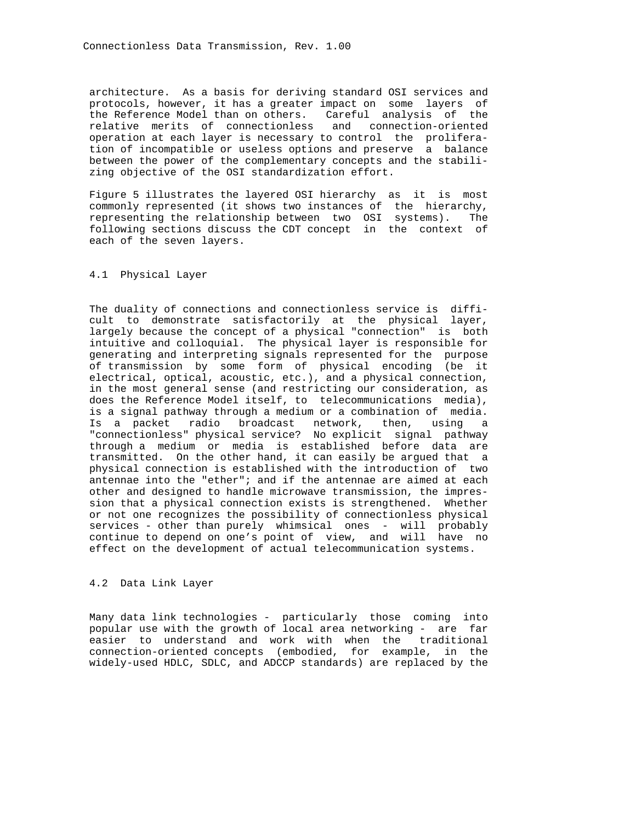architecture. As a basis for deriving standard OSI services and protocols, however, it has a greater impact on some layers of the Reference Model than on others. Careful analysis of the relative merits of connectionless and connection-oriented operation at each layer is necessary to control the prolifera tion of incompatible or useless options and preserve a balance between the power of the complementary concepts and the stabili zing objective of the OSI standardization effort.

 Figure 5 illustrates the layered OSI hierarchy as it is most commonly represented (it shows two instances of the hierarchy, representing the relationship between two OSI systems). The following sections discuss the CDT concept in the context of each of the seven layers.

# 4.1 Physical Layer

 The duality of connections and connectionless service is diffi cult to demonstrate satisfactorily at the physical layer, largely because the concept of a physical "connection" is both intuitive and colloquial. The physical layer is responsible for generating and interpreting signals represented for the purpose of transmission by some form of physical encoding (be it electrical, optical, acoustic, etc.), and a physical connection, in the most general sense (and restricting our consideration, as does the Reference Model itself, to telecommunications media), is a signal pathway through a medium or a combination of media. Is a packet radio broadcast network, then, using a "connectionless" physical service? No explicit signal pathway through a medium or media is established before data are transmitted. On the other hand, it can easily be argued that a physical connection is established with the introduction of two antennae into the "ether"; and if the antennae are aimed at each other and designed to handle microwave transmission, the impres sion that a physical connection exists is strengthened. Whether or not one recognizes the possibility of connectionless physical services - other than purely whimsical ones - will probably continue to depend on one's point of view, and will have no effect on the development of actual telecommunication systems.

### 4.2 Data Link Layer

 Many data link technologies - particularly those coming into popular use with the growth of local area networking - are far easier to understand and work with when the traditional connection-oriented concepts (embodied, for example, in the widely-used HDLC, SDLC, and ADCCP standards) are replaced by the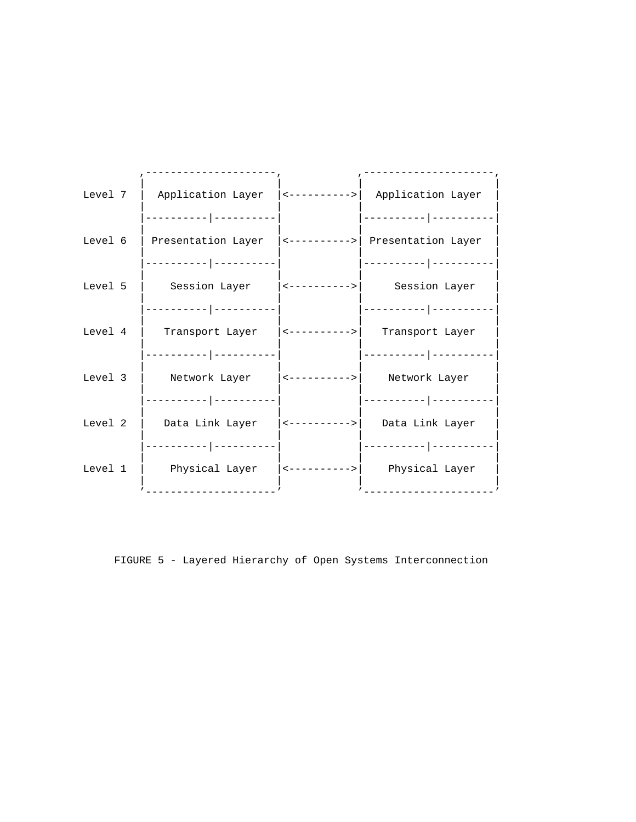| Level $7$ | Application Layer                                                                     | <---------->  Application Layer                 |
|-----------|---------------------------------------------------------------------------------------|-------------------------------------------------|
|           | ------ --------<br>Level 6   Presentation Layer $ $ <---------->   Presentation Layer | __________ _____                                |
| Level 5   | -------- ---------- <br>Session Layer (<----------> Session Layer                     | ----------- ---------                           |
|           | _________ __________                                                                  |                                                 |
| Level 4   | -------- ----------                                                                   | Transport Layer   <---------->  Transport Layer |
|           | Level 3   Network Layer   <---------->  Network Layer                                 |                                                 |
| Level 2   | Data Link Layer    <---------->     Data Link Layer                                   |                                                 |
|           | ------ ----------<br>Level 1   Physical Layer  <---------->  Physical Layer           |                                                 |
|           |                                                                                       |                                                 |

FIGURE 5 - Layered Hierarchy of Open Systems Interconnection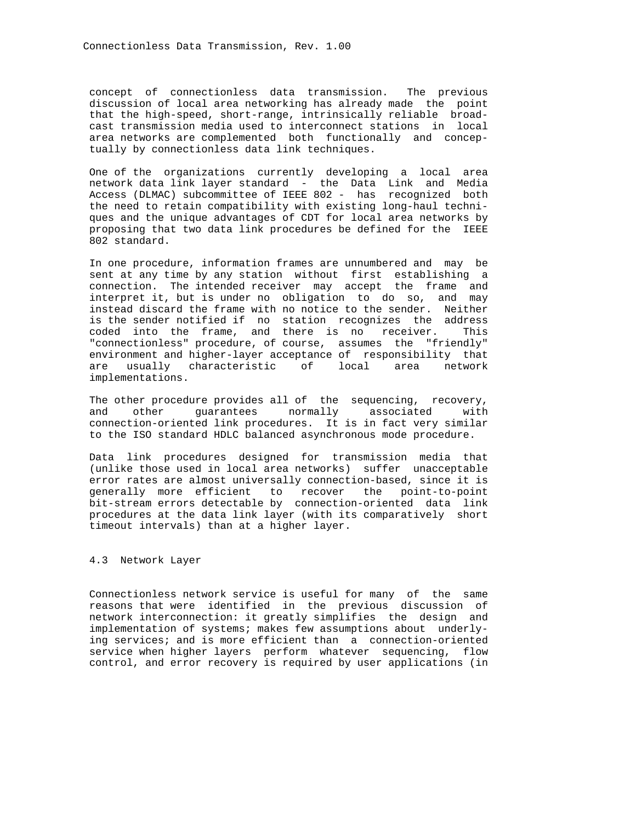concept of connectionless data transmission. The previous discussion of local area networking has already made the point that the high-speed, short-range, intrinsically reliable broad cast transmission media used to interconnect stations in local area networks are complemented both functionally and concep tually by connectionless data link techniques.

 One of the organizations currently developing a local area network data link layer standard - the Data Link and Media Access (DLMAC) subcommittee of IEEE 802 - has recognized both the need to retain compatibility with existing long-haul techni ques and the unique advantages of CDT for local area networks by proposing that two data link procedures be defined for the IEEE 802 standard.

 In one procedure, information frames are unnumbered and may be sent at any time by any station without first establishing a connection. The intended receiver may accept the frame and interpret it, but is under no obligation to do so, and may instead discard the frame with no notice to the sender. Neither is the sender notified if no station recognizes the address coded into the frame, and there is no receiver. This "connectionless" procedure, of course, assumes the "friendly" environment and higher-layer acceptance of responsibility that are usually characteristic of local area network implementations.

 The other procedure provides all of the sequencing, recovery, and other guarantees normally associated with connection-oriented link procedures. It is in fact very similar to the ISO standard HDLC balanced asynchronous mode procedure.

 Data link procedures designed for transmission media that (unlike those used in local area networks) suffer unacceptable error rates are almost universally connection-based, since it is generally more efficient to recover the point-to-point bit-stream errors detectable by connection-oriented data link procedures at the data link layer (with its comparatively short timeout intervals) than at a higher layer.

### 4.3 Network Layer

 Connectionless network service is useful for many of the same reasons that were identified in the previous discussion of network interconnection: it greatly simplifies the design and implementation of systems; makes few assumptions about underly ing services; and is more efficient than a connection-oriented service when higher layers perform whatever sequencing, flow control, and error recovery is required by user applications (in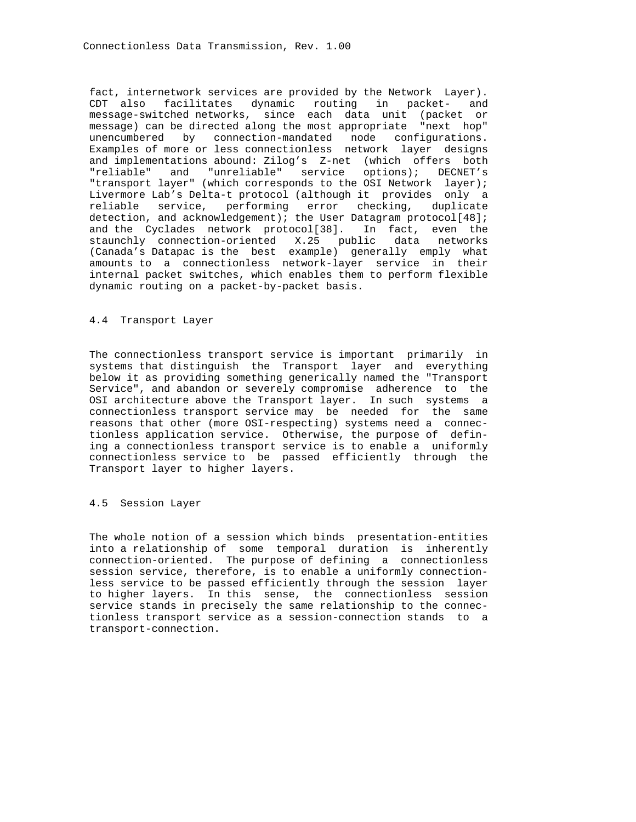fact, internetwork services are provided by the Network Layer). CDT also facilitates dynamic routing in packet- and message-switched networks, since each data unit (packet or message) can be directed along the most appropriate "next hop" unencumbered by connection-mandated node configurations. Examples of more or less connectionless network layer designs and implementations abound: Zilog's Z-net (which offers both "reliable" and "unreliable" service options); DECNET's "transport layer" (which corresponds to the OSI Network layer); Livermore Lab's Delta-t protocol (although it provides only a reliable service, performing error checking, duplicate detection, and acknowledgement); the User Datagram protocol[48]; and the Cyclades network protocol[38]. In fact, even the staunchly connection-oriented X.25 public data networks (Canada's Datapac is the best example) generally emply what amounts to a connectionless network-layer service in their internal packet switches, which enables them to perform flexible dynamic routing on a packet-by-packet basis.

# 4.4 Transport Layer

 The connectionless transport service is important primarily in systems that distinguish the Transport layer and everything below it as providing something generically named the "Transport Service", and abandon or severely compromise adherence to the OSI architecture above the Transport layer. In such systems a connectionless transport service may be needed for the same reasons that other (more OSI-respecting) systems need a connec tionless application service. Otherwise, the purpose of defin ing a connectionless transport service is to enable a uniformly connectionless service to be passed efficiently through the Transport layer to higher layers.

#### 4.5 Session Layer

 The whole notion of a session which binds presentation-entities into a relationship of some temporal duration is inherently connection-oriented. The purpose of defining a connectionless session service, therefore, is to enable a uniformly connection less service to be passed efficiently through the session layer to higher layers. In this sense, the connectionless session service stands in precisely the same relationship to the connec tionless transport service as a session-connection stands to a transport-connection.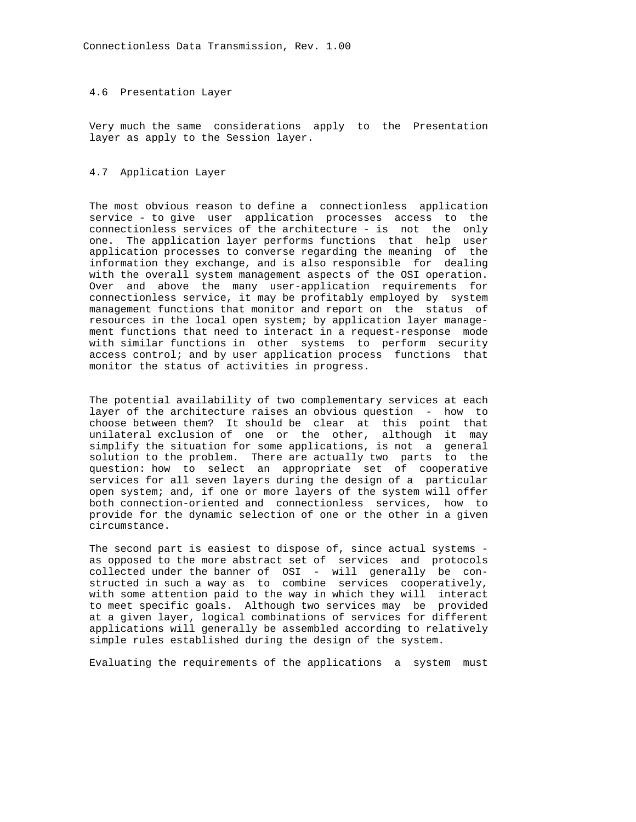#### 4.6 Presentation Layer

 Very much the same considerations apply to the Presentation layer as apply to the Session layer.

# 4.7 Application Layer

 The most obvious reason to define a connectionless application service - to give user application processes access to the connectionless services of the architecture - is not the only one. The application layer performs functions that help user application processes to converse regarding the meaning of the information they exchange, and is also responsible for dealing with the overall system management aspects of the OSI operation. Over and above the many user-application requirements for connectionless service, it may be profitably employed by system management functions that monitor and report on the status of resources in the local open system; by application layer manage ment functions that need to interact in a request-response mode with similar functions in other systems to perform security access control; and by user application process functions that monitor the status of activities in progress.

 The potential availability of two complementary services at each layer of the architecture raises an obvious question - how to choose between them? It should be clear at this point that unilateral exclusion of one or the other, although it may simplify the situation for some applications, is not a general solution to the problem. There are actually two parts to the question: how to select an appropriate set of cooperative services for all seven layers during the design of a particular open system; and, if one or more layers of the system will offer both connection-oriented and connectionless services, how to provide for the dynamic selection of one or the other in a given circumstance.

 The second part is easiest to dispose of, since actual systems as opposed to the more abstract set of services and protocols collected under the banner of OSI - will generally be con structed in such a way as to combine services cooperatively, with some attention paid to the way in which they will interact to meet specific goals. Although two services may be provided at a given layer, logical combinations of services for different applications will generally be assembled according to relatively simple rules established during the design of the system.

Evaluating the requirements of the applications a system must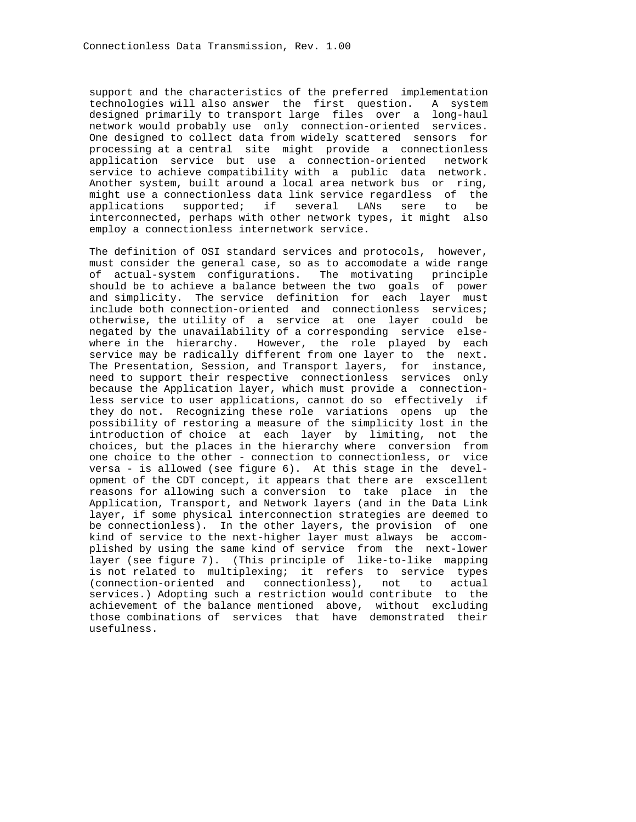support and the characteristics of the preferred implementation technologies will also answer the first question. A system designed primarily to transport large files over a long-haul network would probably use only connection-oriented services. One designed to collect data from widely scattered sensors for processing at a central site might provide a connectionless application service but use a connection-oriented network service to achieve compatibility with a public data network. Another system, built around a local area network bus or ring, might use a connectionless data link service regardless of the applications supported; if several LANs sere to be interconnected, perhaps with other network types, it might also employ a connectionless internetwork service.

 The definition of OSI standard services and protocols, however, must consider the general case, so as to accomodate a wide range of actual-system configurations. The motivating principle should be to achieve a balance between the two goals of power and simplicity. The service definition for each layer must include both connection-oriented and connectionless services; otherwise, the utility of a service at one layer could be negated by the unavailability of a corresponding service else where in the hierarchy. However, the role played by each service may be radically different from one layer to the next. The Presentation, Session, and Transport layers, for instance, need to support their respective connectionless services only because the Application layer, which must provide a connection less service to user applications, cannot do so effectively if they do not. Recognizing these role variations opens up the possibility of restoring a measure of the simplicity lost in the introduction of choice at each layer by limiting, not the choices, but the places in the hierarchy where conversion from one choice to the other - connection to connectionless, or vice versa - is allowed (see figure 6). At this stage in the devel opment of the CDT concept, it appears that there are exscellent reasons for allowing such a conversion to take place in the Application, Transport, and Network layers (and in the Data Link layer, if some physical interconnection strategies are deemed to be connectionless). In the other layers, the provision of one kind of service to the next-higher layer must always be accom plished by using the same kind of service from the next-lower layer (see figure 7). (This principle of like-to-like mapping is not related to multiplexing; it refers to service types (connection-oriented and connectionless), not to actual services.) Adopting such a restriction would contribute to the achievement of the balance mentioned above, without excluding those combinations of services that have demonstrated their usefulness.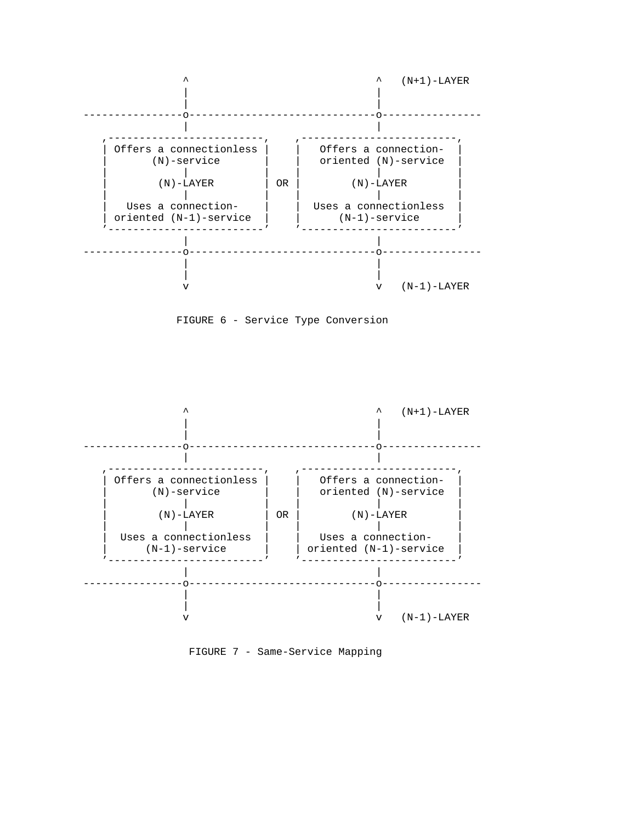





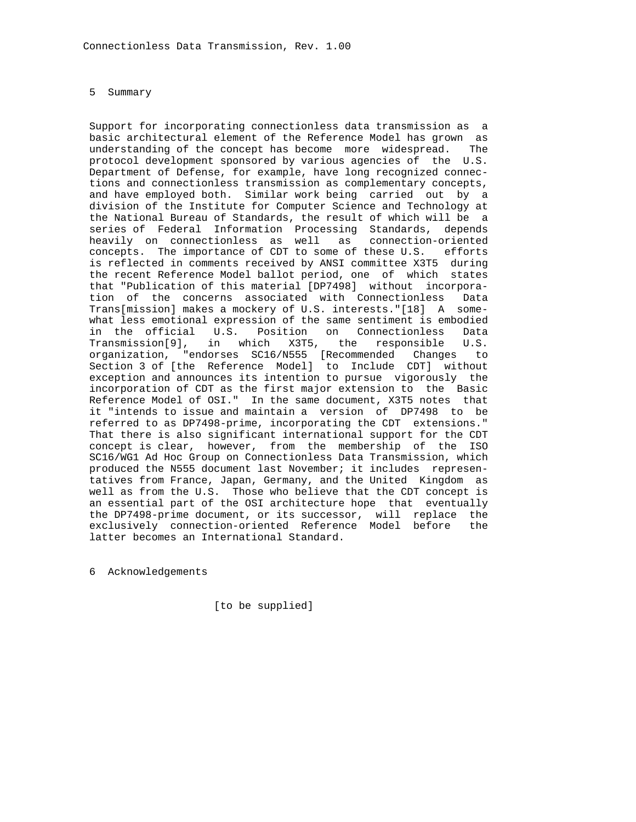#### 5 Summary

 Support for incorporating connectionless data transmission as a basic architectural element of the Reference Model has grown as understanding of the concept has become more widespread. The protocol development sponsored by various agencies of the U.S. Department of Defense, for example, have long recognized connec tions and connectionless transmission as complementary concepts, and have employed both. Similar work being carried out by a division of the Institute for Computer Science and Technology at the National Bureau of Standards, the result of which will be a series of Federal Information Processing Standards, depends heavily on connectionless as well as connection-oriented concepts. The importance of CDT to some of these U.S. efforts is reflected in comments received by ANSI committee X3T5 during the recent Reference Model ballot period, one of which states that "Publication of this material [DP7498] without incorpora tion of the concerns associated with Connectionless Data Trans[mission] makes a mockery of U.S. interests."[18] A some what less emotional expression of the same sentiment is embodied in the official U.S. Position on Connectionless Data Transmission[9], in which X3T5, the responsible U.S. organization, "endorses SC16/N555 [Recommended Changes to Section 3 of [the Reference Model] to Include CDT] without exception and announces its intention to pursue vigorously the incorporation of CDT as the first major extension to the Basic Reference Model of OSI." In the same document, X3T5 notes that it "intends to issue and maintain a version of DP7498 to be referred to as DP7498-prime, incorporating the CDT extensions." That there is also significant international support for the CDT concept is clear, however, from the membership of the ISO SC16/WG1 Ad Hoc Group on Connectionless Data Transmission, which produced the N555 document last November; it includes represen tatives from France, Japan, Germany, and the United Kingdom as well as from the U.S. Those who believe that the CDT concept is an essential part of the OSI architecture hope that eventually the DP7498-prime document, or its successor, will replace the exclusively connection-oriented Reference Model before the latter becomes an International Standard.

6 Acknowledgements

[to be supplied]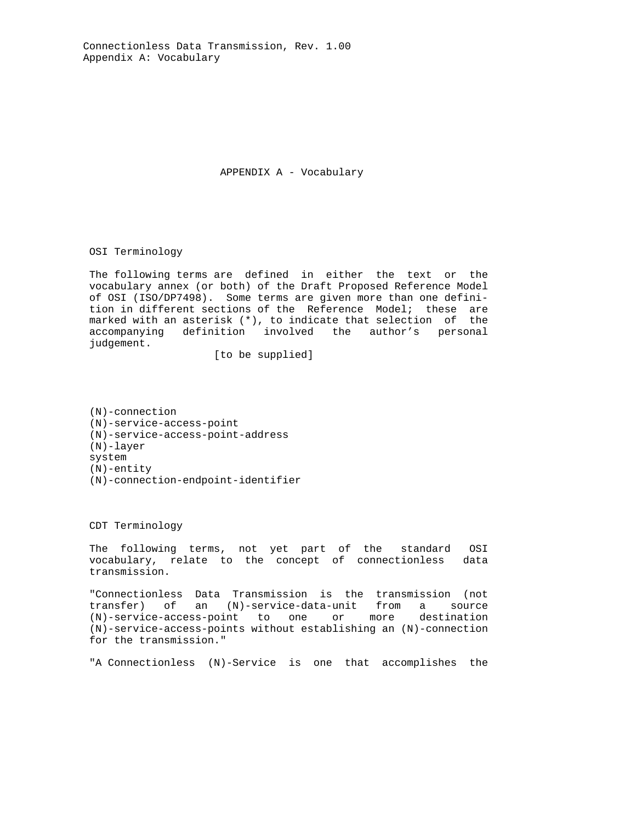Connectionless Data Transmission, Rev. 1.00 Appendix A: Vocabulary

APPENDIX A - Vocabulary

OSI Terminology

 The following terms are defined in either the text or the vocabulary annex (or both) of the Draft Proposed Reference Model of OSI (ISO/DP7498). Some terms are given more than one defini tion in different sections of the Reference Model; these are marked with an asterisk (\*), to indicate that selection of the accompanying definition involved the author's personal judgement.

[to be supplied]

 (N)-connection (N)-service-access-point (N)-service-access-point-address (N)-layer system (N)-entity (N)-connection-endpoint-identifier

CDT Terminology

 The following terms, not yet part of the standard OSI vocabulary, relate to the concept of connectionless data transmission.

 "Connectionless Data Transmission is the transmission (not transfer) of an (N)-service-data-unit from a source (N)-service-access-point to one or more destination (N)-service-access-points without establishing an (N)-connection for the transmission."

"A Connectionless (N)-Service is one that accomplishes the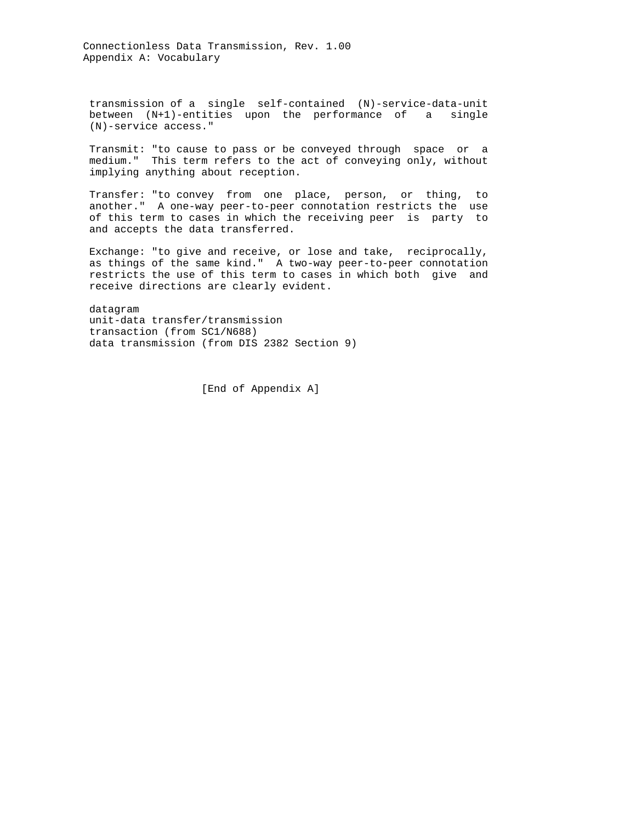Connectionless Data Transmission, Rev. 1.00 Appendix A: Vocabulary

 transmission of a single self-contained (N)-service-data-unit between (N+1)-entities upon the performance of a single (N)-service access."

 Transmit: "to cause to pass or be conveyed through space or a medium." This term refers to the act of conveying only, without implying anything about reception.

 Transfer: "to convey from one place, person, or thing, to another." A one-way peer-to-peer connotation restricts the use of this term to cases in which the receiving peer is party to and accepts the data transferred.

 Exchange: "to give and receive, or lose and take, reciprocally, as things of the same kind." A two-way peer-to-peer connotation restricts the use of this term to cases in which both give and receive directions are clearly evident.

 datagram unit-data transfer/transmission transaction (from SC1/N688) data transmission (from DIS 2382 Section 9)

[End of Appendix A]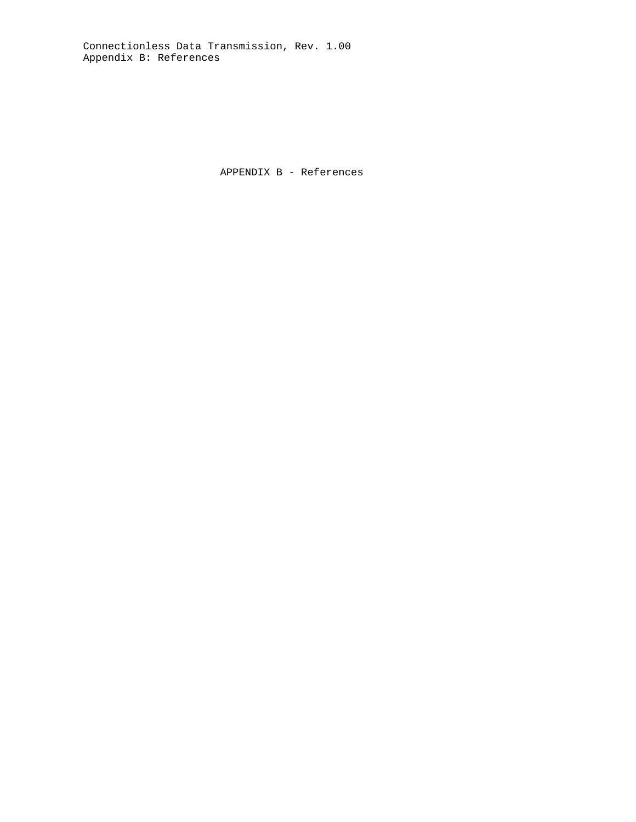Connectionless Data Transmission, Rev. 1.00 Appendix B: References

APPENDIX B - References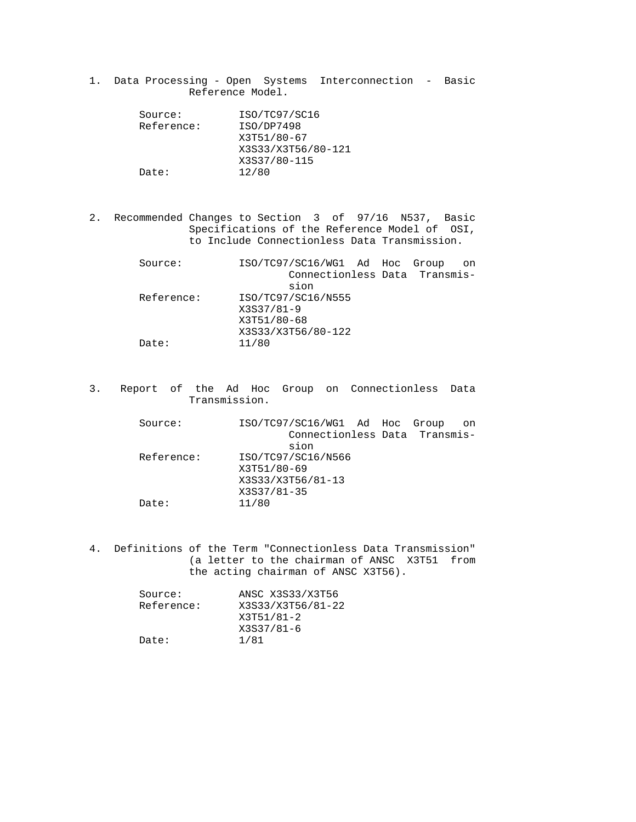1. Data Processing - Open Systems Interconnection - Basic Reference Model.

| Source:    | ISO/TC97/SC16      |
|------------|--------------------|
| Reference: | ISO/DP7498         |
|            | X3T51/80-67        |
|            | X3S33/X3T56/80-121 |
|            | X3S37/80-115       |
| Date:      | 12/80              |

 2. Recommended Changes to Section 3 of 97/16 N537, Basic Specifications of the Reference Model of OSI, to Include Connectionless Data Transmission.

| Source:    |             | ISO/TC97/SC16/WG1 Ad Hoc      |  | Group | on |
|------------|-------------|-------------------------------|--|-------|----|
|            |             | Connectionless Data Transmis- |  |       |    |
|            |             | sion                          |  |       |    |
| Reference: |             | ISO/TC97/SC16/N555            |  |       |    |
|            | X3S37/81-9  |                               |  |       |    |
|            | X3T51/80-68 |                               |  |       |    |
|            |             | X3S33/X3T56/80-122            |  |       |    |
| Date:      | 11/80       |                               |  |       |    |
|            |             |                               |  |       |    |

 3. Report of the Ad Hoc Group on Connectionless Data Transmission.

| Source:    |             | ISO/TC97/SC16/WG1 Ad Hoc Group |  | on |
|------------|-------------|--------------------------------|--|----|
|            |             | Connectionless Data Transmis-  |  |    |
|            |             | sion                           |  |    |
| Reference: |             | ISO/TC97/SC16/N566             |  |    |
|            | X3T51/80-69 |                                |  |    |
|            |             | X3S33/X3T56/81-13              |  |    |
|            | X3S37/81-35 |                                |  |    |
| Date:      | 11/80       |                                |  |    |
|            |             |                                |  |    |

 4. Definitions of the Term "Connectionless Data Transmission" (a letter to the chairman of ANSC X3T51 from the acting chairman of ANSC X3T56).

| ANSC X3S33/X3T56  |
|-------------------|
| X3S33/X3T56/81-22 |
| X3T51/81-2        |
| X3S37/81-6        |
| 1/81              |
|                   |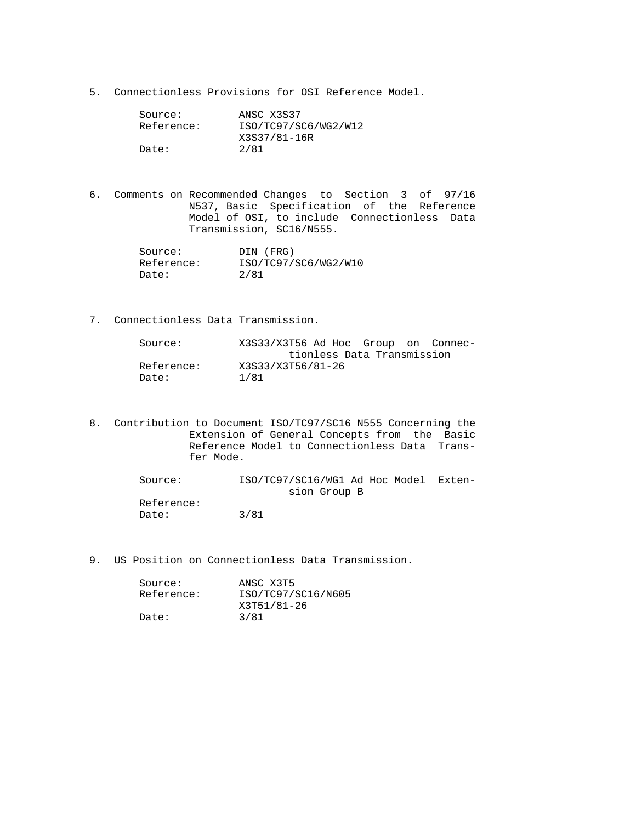5. Connectionless Provisions for OSI Reference Model.

| Source:    | ANSC X3S37           |
|------------|----------------------|
| Reference: | ISO/TC97/SC6/WG2/W12 |
|            | X3S37/81-16R         |
| Date:      | 2/81                 |

 6. Comments on Recommended Changes to Section 3 of 97/16 N537, Basic Specification of the Reference Model of OSI, to include Connectionless Data Transmission, SC16/N555.

| Source:    | DIN (FRG)            |
|------------|----------------------|
| Reference: | ISO/TC97/SC6/WG2/W10 |
| Date:      | 2/81                 |

7. Connectionless Data Transmission.

| Source:    | X3S33/X3T56 Ad Hoc Group on Connec- |
|------------|-------------------------------------|
|            | tionless Data Transmission          |
| Reference: | X3S33/X3T56/81-26                   |
| Date:      | 1/81                                |

 8. Contribution to Document ISO/TC97/SC16 N555 Concerning the Extension of General Concepts from the Basic Reference Model to Connectionless Data Trans fer Mode.

> Source: ISO/TC97/SC16/WG1 Ad Hoc Model Exten sion Group B Reference: Date: 3/81

9. US Position on Connectionless Data Transmission.

| Source:    | ANSC X3T5          |
|------------|--------------------|
| Reference: | ISO/TC97/SC16/N605 |
|            | X3T51/81-26        |
| Date:      | 3/81               |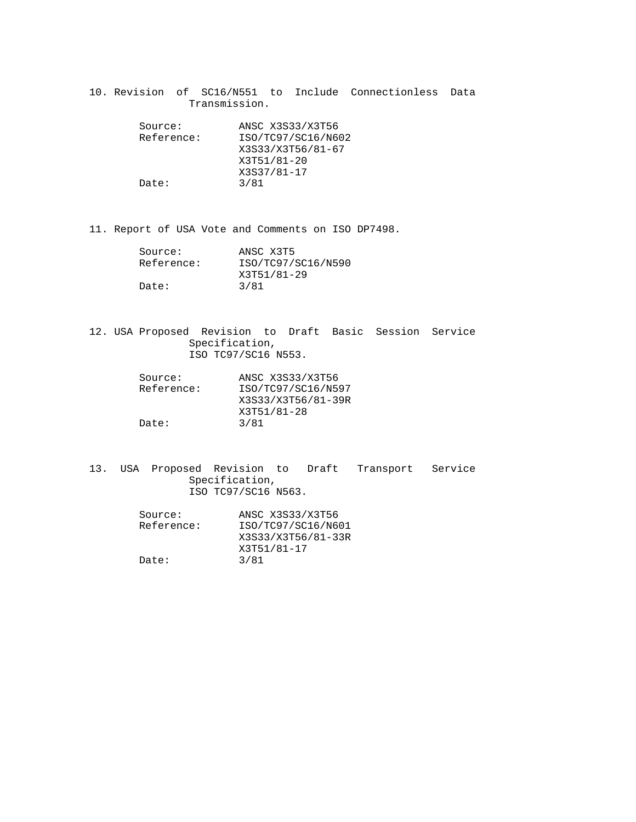10. Revision of SC16/N551 to Include Connectionless Data Transmission.

| Source:    | ANSC X3S33/X3T56   |
|------------|--------------------|
| Reference: | ISO/TC97/SC16/N602 |
|            | X3S33/X3T56/81-67  |
|            | X3T51/81-20        |
|            | X3S37/81-17        |
| Date:      | 3/81               |

11. Report of USA Vote and Comments on ISO DP7498.

| Source:    | ANSC X3T5          |
|------------|--------------------|
| Reference: | ISO/TC97/SC16/N590 |
|            | X3T51/81-29        |
| Date:      | 3/81               |

 12. USA Proposed Revision to Draft Basic Session Service Specification, ISO TC97/SC16 N553.

| Source:    | ANSC X3S33/X3T56   |
|------------|--------------------|
| Reference: | ISO/TC97/SC16/N597 |
|            | X3S33/X3T56/81-39R |
|            | X3T51/81-28        |
| Date:      | 3/81               |

 13. USA Proposed Revision to Draft Transport Service Specification, ISO TC97/SC16 N563.

| Source:    | ANSC X3S33/X3T56   |
|------------|--------------------|
| Reference: | ISO/TC97/SC16/N601 |
|            | X3S33/X3T56/81-33R |
|            | X3T51/81-17        |
| Date:      | 3/81               |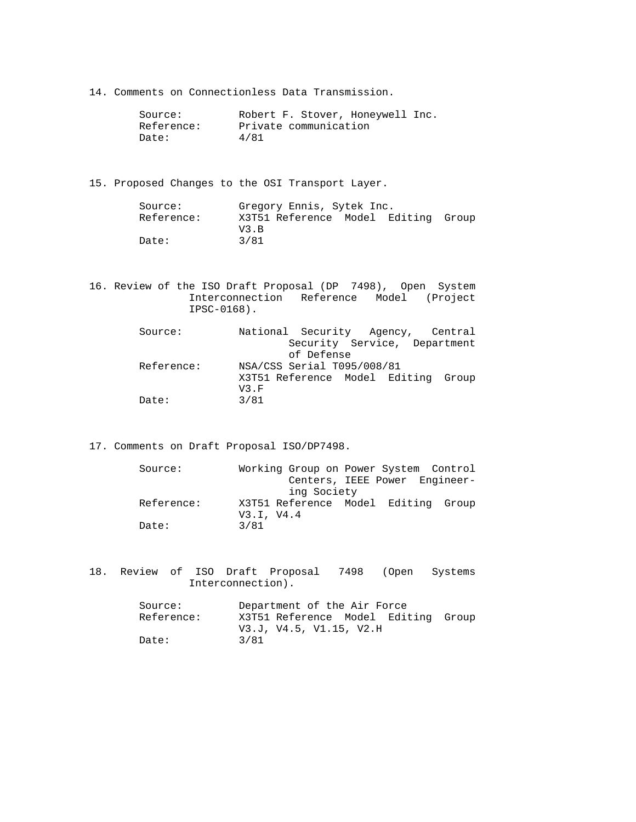14. Comments on Connectionless Data Transmission.

| Source:    | Robert F. Stover, Honeywell Inc. |
|------------|----------------------------------|
| Reference: | Private communication            |
| Date:      | 4/81                             |

15. Proposed Changes to the OSI Transport Layer.

| Source:    | Gregory Ennis, Sytek Inc.           |  |  |
|------------|-------------------------------------|--|--|
| Reference: | X3T51 Reference Model Editing Group |  |  |
|            | V3. B                               |  |  |
| Date:      | 3/81                                |  |  |

 16. Review of the ISO Draft Proposal (DP 7498), Open System Interconnection Reference Model (Project IPSC-0168).

| Source:    |      | National Security Agency, Central   |  |  |
|------------|------|-------------------------------------|--|--|
|            |      | Security Service, Department        |  |  |
|            |      | of Defense                          |  |  |
| Reference: |      | NSA/CSS Serial T095/008/81          |  |  |
|            |      | X3T51 Reference Model Editing Group |  |  |
|            | V3.F |                                     |  |  |
| Date:      | 3/81 |                                     |  |  |

17. Comments on Draft Proposal ISO/DP7498.

| Source:    | Working Group on Power System Control |             |  |                               |  |
|------------|---------------------------------------|-------------|--|-------------------------------|--|
|            |                                       |             |  | Centers, IEEE Power Engineer- |  |
|            |                                       | ing Society |  |                               |  |
| Reference: | X3T51 Reference Model Editing Group   |             |  |                               |  |
|            | V3.I. V4.4                            |             |  |                               |  |
| Date:      | 3/81                                  |             |  |                               |  |

 18. Review of ISO Draft Proposal 7498 (Open Systems Interconnection).

| Department of the Air Force         |  |
|-------------------------------------|--|
| X3T51 Reference Model Editing Group |  |
| V3.J, V4.5, V1.15, V2.H             |  |
| 3/81                                |  |
|                                     |  |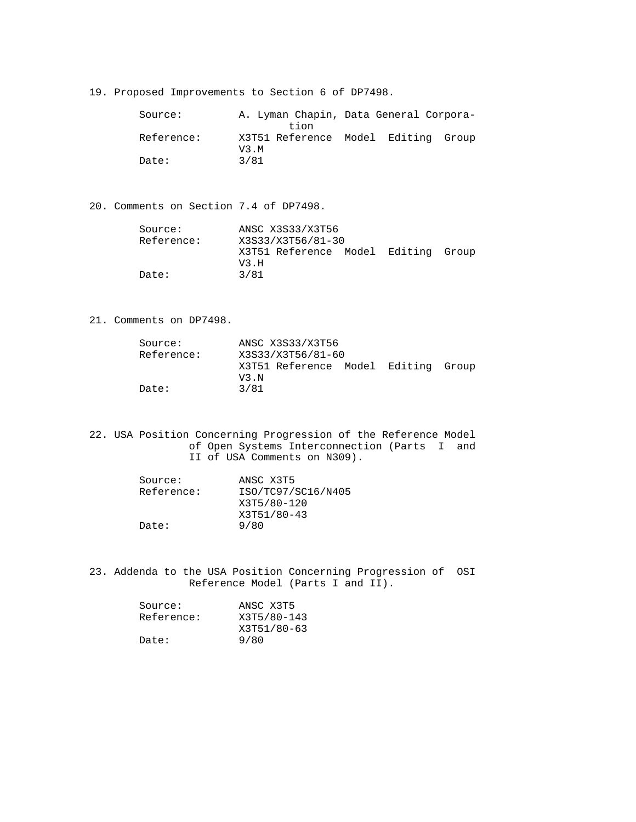19. Proposed Improvements to Section 6 of DP7498.

 Source: A. Lyman Chapin, Data General Corpora tion<br>Reference: X3T51 Referer Reference: X3T51 Reference Model Editing Group V3.M Date: 3/81

20. Comments on Section 7.4 of DP7498.

| Source:    |       | ANSC X3S33/X3T56                    |  |  |
|------------|-------|-------------------------------------|--|--|
| Reference: |       | X3S33/X3T56/81-30                   |  |  |
|            | V3. H | X3T51 Reference Model Editing Group |  |  |
| Date:      | 3/81  |                                     |  |  |

21. Comments on DP7498.

| Source:    | ANSC X3S33/X3T56                    |  |  |
|------------|-------------------------------------|--|--|
| Reference: | X3S33/X3T56/81-60                   |  |  |
|            | X3T51 Reference Model Editing Group |  |  |
|            | V3. N                               |  |  |
| Date:      | 3/81                                |  |  |

 22. USA Position Concerning Progression of the Reference Model of Open Systems Interconnection (Parts I and II of USA Comments on N309).

| Source:    | ANSC X3T5          |
|------------|--------------------|
| Reference: | ISO/TC97/SC16/N405 |
|            | X3T5/80-120        |
|            | X3T51/80-43        |
| Date:      | 9/80               |

 23. Addenda to the USA Position Concerning Progression of OSI Reference Model (Parts I and II).

| ANSC X3T5   |
|-------------|
| X3T5/80-143 |
| X3T51/80-63 |
| 9/80        |
|             |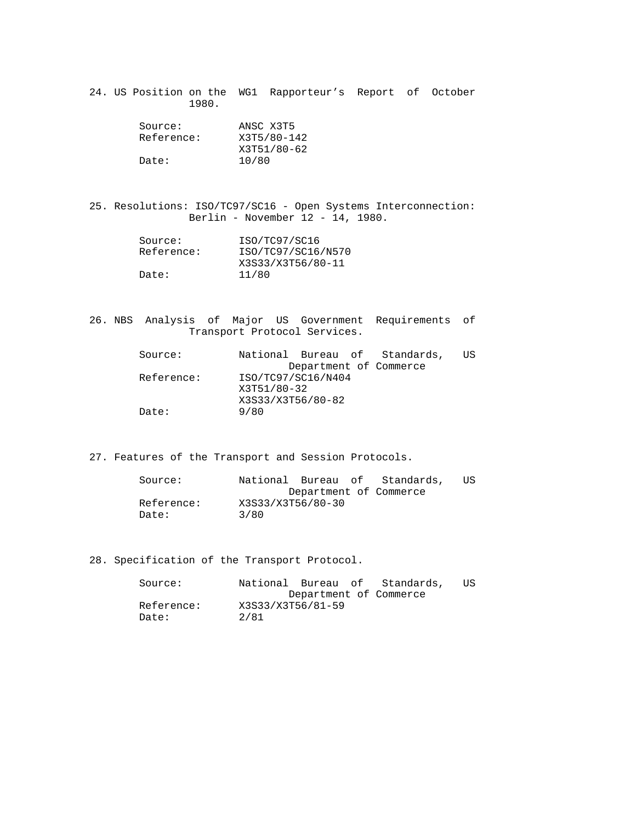24. US Position on the WG1 Rapporteur's Report of October 1980.

| Source:    | ANSC X3T5   |
|------------|-------------|
| Reference: | X3T5/80-142 |
|            | X3T51/80-62 |
| Date:      | 10/80       |

 25. Resolutions: ISO/TC97/SC16 - Open Systems Interconnection: Berlin - November 12 - 14, 1980.

| Source:    | ISO/TC97/SC16      |
|------------|--------------------|
| Reference: | ISO/TC97/SC16/N570 |
|            | X3S33/X3T56/80-11  |
| Date:      | 11/80              |

 26. NBS Analysis of Major US Government Requirements of Transport Protocol Services.

| National Bureau of Standards, | US |
|-------------------------------|----|
| Department of Commerce        |    |
| ISO/TC97/SC16/N404            |    |
| X3T51/80-32                   |    |
| X3S33/X3T56/80-82             |    |
| 9/80                          |    |
|                               |    |

27. Features of the Transport and Session Protocols.

| Source:    | National Bureau of Standards, | US |
|------------|-------------------------------|----|
|            | Department of Commerce        |    |
| Reference: | X3S33/X3T56/80-30             |    |
| Date:      | 3/80                          |    |

28. Specification of the Transport Protocol.

| Source:    | National Bureau of Standards, | US |
|------------|-------------------------------|----|
|            | Department of Commerce        |    |
| Reference: | X3S33/X3T56/81-59             |    |
| Date:      | 2/81                          |    |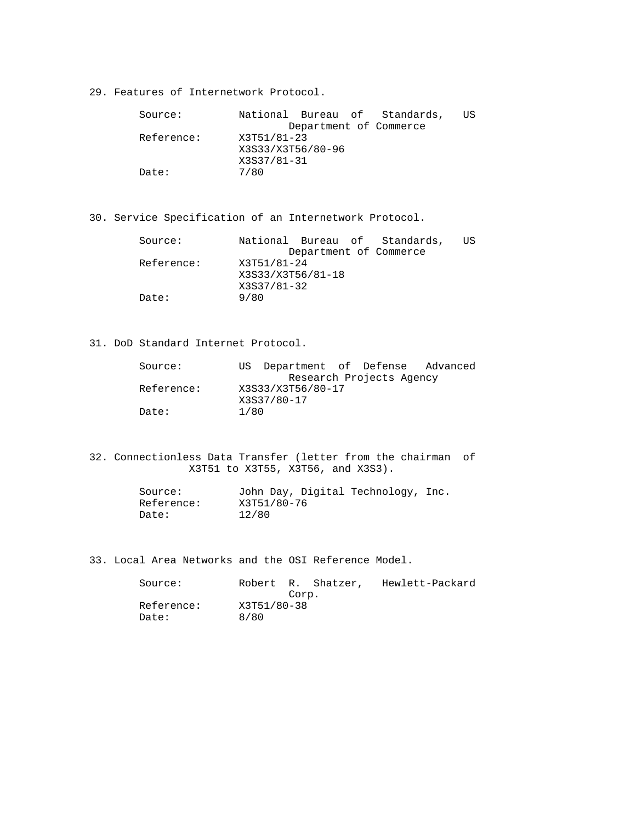29. Features of Internetwork Protocol.

| Source:    | National Bureau of Standards, | ΠS |
|------------|-------------------------------|----|
|            | Department of Commerce        |    |
| Reference: | X3T51/81-23                   |    |
|            | X3S33/X3T56/80-96             |    |
|            | X3S37/81-31                   |    |
| Date:      | 7/80                          |    |

30. Service Specification of an Internetwork Protocol.

| Source:    | National Bureau of Standards, | US |
|------------|-------------------------------|----|
|            | Department of Commerce        |    |
| Reference: | X3T51/81-24                   |    |
|            | X3S33/X3T56/81-18             |    |
|            | X3S37/81-32                   |    |
| Date:      | 9/80                          |    |

31. DoD Standard Internet Protocol.

| Source:    |      | US Department of Defense Advanced |                          |  |
|------------|------|-----------------------------------|--------------------------|--|
|            |      |                                   | Research Projects Agency |  |
| Reference: |      | X3S33/X3T56/80-17                 |                          |  |
|            |      | X3S37/80-17                       |                          |  |
| Date:      | 1/80 |                                   |                          |  |

 32. Connectionless Data Transfer (letter from the chairman of X3T51 to X3T55, X3T56, and X3S3).

| Source:    | John Day, Digital Technology, Inc. |  |
|------------|------------------------------------|--|
| Reference: | X3T51/80-76                        |  |
| Date:      | 12/80                              |  |

33. Local Area Networks and the OSI Reference Model.

|      |  | Hewlett-Packard                            |
|------|--|--------------------------------------------|
|      |  |                                            |
|      |  |                                            |
| 8/80 |  |                                            |
|      |  | Robert R. Shatzer,<br>Corp.<br>X3T51/80-38 |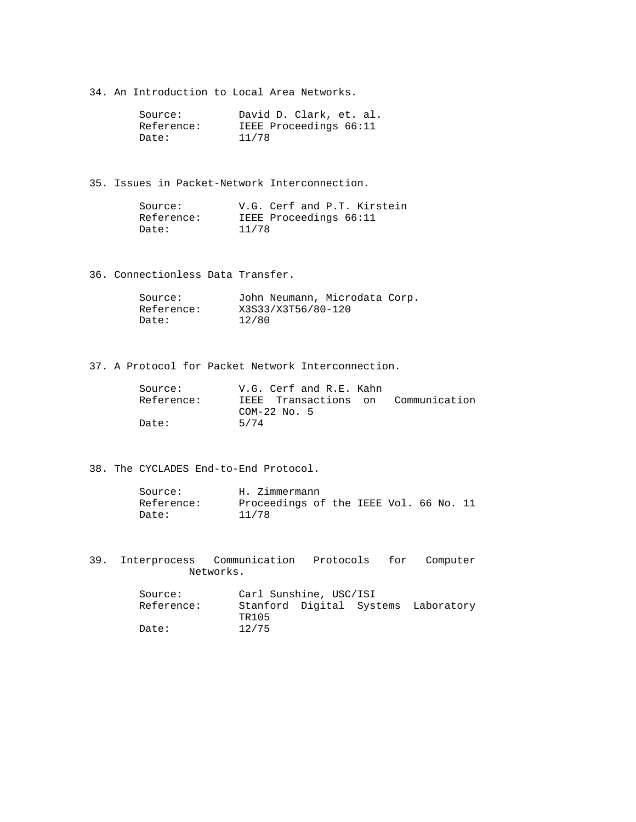34. An Introduction to Local Area Networks.

| Source:    | David D. Clark, et. al. |
|------------|-------------------------|
| Reference: | IEEE Proceedings 66:11  |
| Date:      | 11/78                   |

35. Issues in Packet-Network Interconnection.

| Source:    | V.G. Cerf and P.T. Kirstein |
|------------|-----------------------------|
| Reference: | IEEE Proceedings 66:11      |
| Date:      | 11/78                       |

36. Connectionless Data Transfer.

| Source:    | John Neumann, Microdata Corp. |
|------------|-------------------------------|
| Reference: | X3S33/X3T56/80-120            |
| Date:      | 12/80                         |

37. A Protocol for Packet Network Interconnection.

| Source:    | V.G. Cerf and R.E. Kahn            |  |
|------------|------------------------------------|--|
| Reference: | IEEE Transactions on Communication |  |
|            | COM-22 No. 5                       |  |
| Date:      | 5/74                               |  |

38. The CYCLADES End-to-End Protocol.

| Source:    | H. Zimmermann                          |
|------------|----------------------------------------|
| Reference: | Proceedings of the IEEE Vol. 66 No. 11 |
| Date:      | 11/78                                  |

 39. Interprocess Communication Protocols for Computer Networks.

| Source:    | Carl Sunshine, USC/ISI |  |                                     |
|------------|------------------------|--|-------------------------------------|
| Reference: |                        |  | Stanford Digital Systems Laboratory |
|            | TR105                  |  |                                     |
| Date:      | 12/75                  |  |                                     |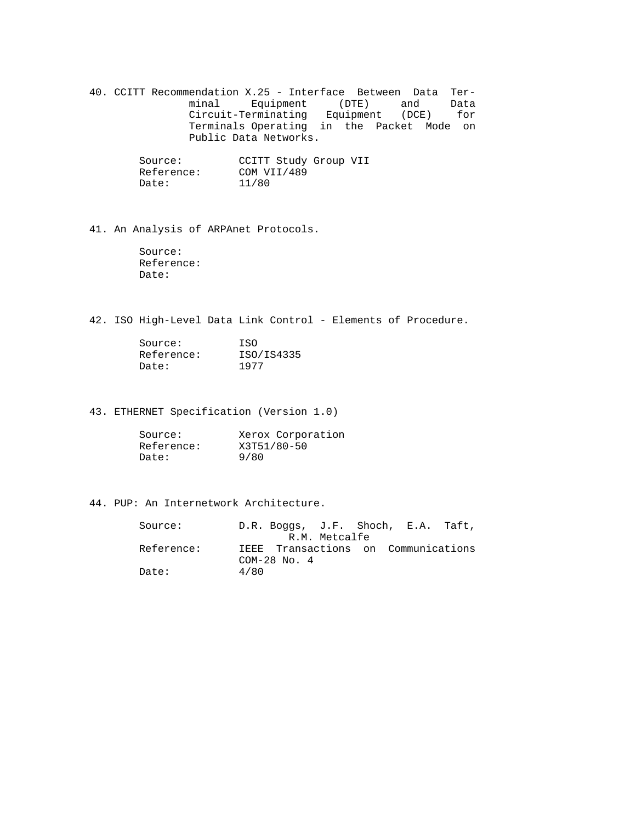40. CCITT Recommendation X.25 - Interface Between Data Ter minal Equipment (DTE) and Data Circuit-Terminating Equipment (DCE) for Terminals Operating in the Packet Mode on Public Data Networks.

| Source:    | CCITT Study Group VII |
|------------|-----------------------|
| Reference: | COM VII/489           |
| Date:      | 11/80                 |

41. An Analysis of ARPAnet Protocols.

 Source: Reference: Date:

42. ISO High-Level Data Link Control - Elements of Procedure.

| Source:    | T.SO       |
|------------|------------|
| Reference: | ISO/IS4335 |
| Date:      | 1977       |

43. ETHERNET Specification (Version 1.0)

| Source:    | Xerox Corporation |
|------------|-------------------|
| Reference: | X3T51/80-50       |
| Date:      | 9/80              |

# 44. PUP: An Internetwork Architecture.

| Source:    | D.R. Boggs, J.F. Shoch, E.A. Taft,                      |  |  |
|------------|---------------------------------------------------------|--|--|
|            | R.M. Metcalfe                                           |  |  |
| Reference: | IEEE Transactions on Communications<br>$COM-28$ No. $4$ |  |  |
| Date:      | 4/80                                                    |  |  |